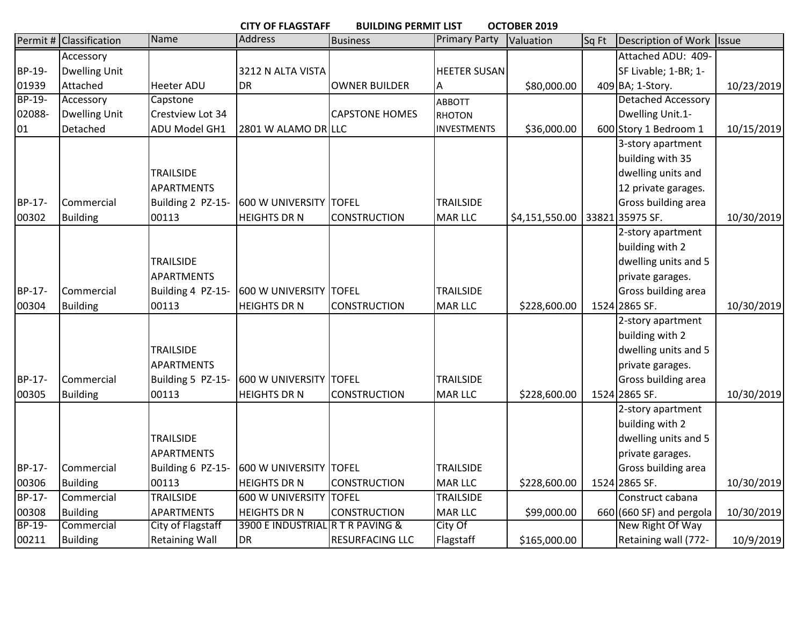|               | OCTOBER 2019<br><b>CITY OF FLAGSTAFF</b><br><b>BUILDING PERMIT LIST</b> |                       |                                  |                        |                      |                |       |                           |              |  |  |
|---------------|-------------------------------------------------------------------------|-----------------------|----------------------------------|------------------------|----------------------|----------------|-------|---------------------------|--------------|--|--|
|               | Permit # Classification                                                 | Name                  | Address                          | <b>Business</b>        | <b>Primary Party</b> | Valuation      | Sq Ft | Description of Work       | <b>Issue</b> |  |  |
|               | Accessory                                                               |                       |                                  |                        |                      |                |       | Attached ADU: 409-        |              |  |  |
| BP-19-        | <b>Dwelling Unit</b>                                                    |                       | 3212 N ALTA VISTA                |                        | <b>HEETER SUSAN</b>  |                |       | SF Livable; 1-BR; 1-      |              |  |  |
| 01939         | Attached                                                                | <b>Heeter ADU</b>     | <b>DR</b>                        | <b>OWNER BUILDER</b>   | Α                    | \$80,000.00    |       | 409 BA; 1-Story.          | 10/23/2019   |  |  |
| $BP-19-$      | Accessory                                                               | Capstone              |                                  |                        | <b>ABBOTT</b>        |                |       | <b>Detached Accessory</b> |              |  |  |
| 02088-        | <b>Dwelling Unit</b>                                                    | Crestview Lot 34      |                                  | <b>CAPSTONE HOMES</b>  | <b>RHOTON</b>        |                |       | Dwelling Unit.1-          |              |  |  |
| 01            | Detached                                                                | ADU Model GH1         | 2801 W ALAMO DR LLC              |                        | <b>INVESTMENTS</b>   | \$36,000.00    |       | 600 Story 1 Bedroom 1     | 10/15/2019   |  |  |
|               |                                                                         |                       |                                  |                        |                      |                |       | 3-story apartment         |              |  |  |
|               |                                                                         |                       |                                  |                        |                      |                |       | building with 35          |              |  |  |
|               |                                                                         | <b>TRAILSIDE</b>      |                                  |                        |                      |                |       | dwelling units and        |              |  |  |
|               |                                                                         | <b>APARTMENTS</b>     |                                  |                        |                      |                |       | 12 private garages.       |              |  |  |
| BP-17-        | Commercial                                                              | Building 2 PZ-15-     | <b>600 W UNIVERSITY</b>          | <b>TOFEL</b>           | <b>TRAILSIDE</b>     |                |       | Gross building area       |              |  |  |
| 00302         | <b>Building</b>                                                         | 00113                 | <b>HEIGHTS DR N</b>              | <b>CONSTRUCTION</b>    | <b>MAR LLC</b>       | \$4,151,550.00 |       | 33821 35975 SF.           | 10/30/2019   |  |  |
|               |                                                                         |                       |                                  |                        |                      |                |       | 2-story apartment         |              |  |  |
|               |                                                                         |                       |                                  |                        |                      |                |       | building with 2           |              |  |  |
|               |                                                                         | <b>TRAILSIDE</b>      |                                  |                        |                      |                |       | dwelling units and 5      |              |  |  |
|               |                                                                         | <b>APARTMENTS</b>     |                                  |                        |                      |                |       | private garages.          |              |  |  |
| BP-17-        | Commercial                                                              | Building 4 PZ-15-     | <b>600 W UNIVERSITY</b>          | <b>TOFEL</b>           | <b>TRAILSIDE</b>     |                |       | Gross building area       |              |  |  |
| 00304         | <b>Building</b>                                                         | 00113                 | <b>HEIGHTS DR N</b>              | <b>CONSTRUCTION</b>    | <b>MAR LLC</b>       | \$228,600.00   |       | 1524 2865 SF.             | 10/30/2019   |  |  |
|               |                                                                         |                       |                                  |                        |                      |                |       | 2-story apartment         |              |  |  |
|               |                                                                         |                       |                                  |                        |                      |                |       | building with 2           |              |  |  |
|               |                                                                         | <b>TRAILSIDE</b>      |                                  |                        |                      |                |       | dwelling units and 5      |              |  |  |
|               |                                                                         | <b>APARTMENTS</b>     |                                  |                        |                      |                |       | private garages.          |              |  |  |
| BP-17-        | Commercial                                                              | Building 5 PZ-15-     | <b>600 W UNIVERSITY</b>          | <b>TOFEL</b>           | <b>TRAILSIDE</b>     |                |       | Gross building area       |              |  |  |
| 00305         | <b>Building</b>                                                         | 00113                 | <b>HEIGHTS DR N</b>              | <b>CONSTRUCTION</b>    | <b>MAR LLC</b>       | \$228,600.00   |       | 1524 2865 SF.             | 10/30/2019   |  |  |
|               |                                                                         |                       |                                  |                        |                      |                |       | 2-story apartment         |              |  |  |
|               |                                                                         |                       |                                  |                        |                      |                |       | building with 2           |              |  |  |
|               |                                                                         | <b>TRAILSIDE</b>      |                                  |                        |                      |                |       | dwelling units and 5      |              |  |  |
|               |                                                                         | <b>APARTMENTS</b>     |                                  |                        |                      |                |       | private garages.          |              |  |  |
| BP-17-        | Commercial                                                              | Building 6 PZ-15-     | <b>600 W UNIVERSITY</b>          | <b>TOFEL</b>           | <b>TRAILSIDE</b>     |                |       | Gross building area       |              |  |  |
| 00306         | <b>Building</b>                                                         | 00113                 | <b>HEIGHTS DR N</b>              | <b>CONSTRUCTION</b>    | <b>MAR LLC</b>       | \$228,600.00   |       | 1524 2865 SF.             | 10/30/2019   |  |  |
| <b>BP-17-</b> | Commercial                                                              | <b>TRAILSIDE</b>      | 600 W UNIVERSITY                 | <b>TOFEL</b>           | <b>TRAILSIDE</b>     |                |       | Construct cabana          |              |  |  |
| 00308         | <b>Building</b>                                                         | <b>APARTMENTS</b>     | <b>HEIGHTS DR N</b>              | <b>CONSTRUCTION</b>    | <b>MAR LLC</b>       | \$99,000.00    |       | 660 (660 SF) and pergola  | 10/30/2019   |  |  |
| BP-19-        | Commercial                                                              | City of Flagstaff     | 3900 E INDUSTRIAL R T R PAVING & |                        | City Of              |                |       | New Right Of Way          |              |  |  |
| 00211         | <b>Building</b>                                                         | <b>Retaining Wall</b> | <b>DR</b>                        | <b>RESURFACING LLC</b> | Flagstaff            | \$165,000.00   |       | Retaining wall (772-      | 10/9/2019    |  |  |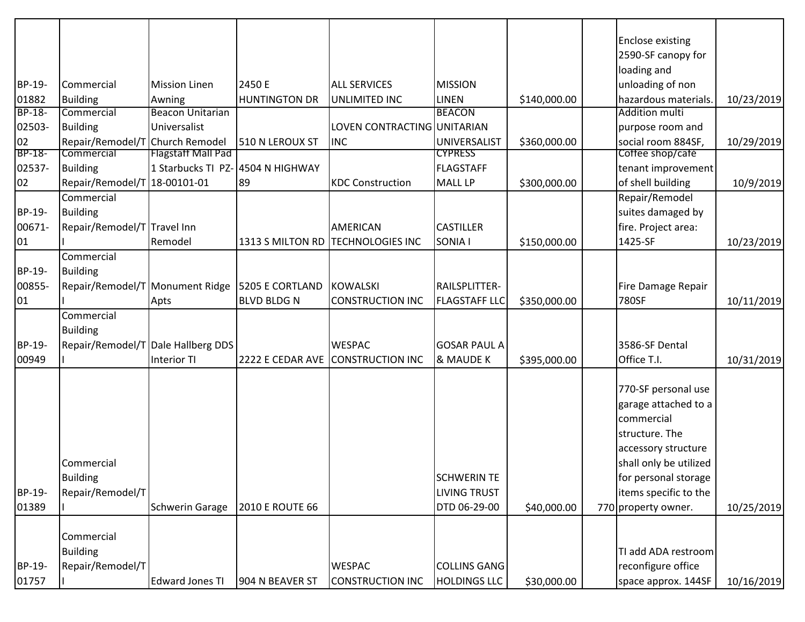|               |                                    |                                   |                                                 |                                   |                      |              | <b>Enclose existing</b><br>2590-SF canopy for |            |
|---------------|------------------------------------|-----------------------------------|-------------------------------------------------|-----------------------------------|----------------------|--------------|-----------------------------------------------|------------|
|               |                                    |                                   |                                                 |                                   |                      |              | loading and                                   |            |
| BP-19-        | Commercial                         | <b>Mission Linen</b>              | 2450 E                                          | <b>ALL SERVICES</b>               | <b>MISSION</b>       |              | unloading of non                              |            |
| 01882         | <b>Building</b>                    | Awning                            | <b>HUNTINGTON DR</b>                            | UNLIMITED INC                     | <b>LINEN</b>         | \$140,000.00 | hazardous materials.                          | 10/23/2019 |
| <b>BP-18-</b> | Commercial                         | <b>Beacon Unitarian</b>           |                                                 |                                   | <b>BEACON</b>        |              | Addition multi                                |            |
| 02503-        | <b>Building</b>                    | Universalist                      |                                                 | LOVEN CONTRACTING UNITARIAN       |                      |              | purpose room and                              |            |
| 02            | Repair/Remodel/T Church Remodel    |                                   | 510 N LEROUX ST                                 | <b>INC</b>                        | UNIVERSALIST         | \$360,000.00 | social room 884SF,                            | 10/29/2019 |
| BP-18-        | Commercial                         | <b>Flagstaff Mall Pad</b>         |                                                 |                                   | <b>CYPRESS</b>       |              | Cottee shop/caté                              |            |
| 02537-        | <b>Building</b>                    | 1 Starbucks TI PZ- 4504 N HIGHWAY |                                                 |                                   | <b>FLAGSTAFF</b>     |              | tenant improvement                            |            |
| 02            | Repair/Remodel/T 18-00101-01       |                                   | 89                                              | <b>KDC Construction</b>           | <b>MALL LP</b>       | \$300,000.00 | of shell building                             | 10/9/2019  |
|               | Commercial                         |                                   |                                                 |                                   |                      |              | Repair/Remodel                                |            |
| BP-19-        | <b>Building</b>                    |                                   |                                                 |                                   |                      |              | suites damaged by                             |            |
| 00671-        | Repair/Remodel/T Travel Inn        |                                   |                                                 | <b>AMERICAN</b>                   | <b>CASTILLER</b>     |              | fire. Project area:                           |            |
| 01            |                                    | Remodel                           |                                                 | 1313 S MILTON RD TECHNOLOGIES INC | SONIA I              | \$150,000.00 | 1425-SF                                       | 10/23/2019 |
|               | Commercial                         |                                   |                                                 |                                   |                      |              |                                               |            |
| BP-19-        | <b>Building</b>                    |                                   |                                                 |                                   |                      |              |                                               |            |
| 00855-        |                                    |                                   | Repair/Remodel/T Monument Ridge 5205 E CORTLAND | <b>KOWALSKI</b>                   | RAILSPLITTER-        |              | Fire Damage Repair                            |            |
| 01            |                                    | Apts                              | <b>BLVD BLDG N</b>                              | <b>CONSTRUCTION INC</b>           | <b>FLAGSTAFF LLC</b> | \$350,000.00 | 780SF                                         | 10/11/2019 |
|               | Commercial                         |                                   |                                                 |                                   |                      |              |                                               |            |
|               | <b>Building</b>                    |                                   |                                                 |                                   |                      |              |                                               |            |
| BP-19-        | Repair/Remodel/T Dale Hallberg DDS |                                   |                                                 | <b>WESPAC</b>                     | <b>GOSAR PAUL A</b>  |              | 3586-SF Dental                                |            |
| 00949         |                                    | Interior TI                       |                                                 | 2222 E CEDAR AVE CONSTRUCTION INC | & MAUDE K            | \$395,000.00 | Office T.I.                                   | 10/31/2019 |
|               |                                    |                                   |                                                 |                                   |                      |              | 770-SF personal use<br>garage attached to a   |            |
|               |                                    |                                   |                                                 |                                   |                      |              | commercial                                    |            |
|               |                                    |                                   |                                                 |                                   |                      |              | structure. The                                |            |
|               |                                    |                                   |                                                 |                                   |                      |              | accessory structure                           |            |
|               | Commercial                         |                                   |                                                 |                                   |                      |              | shall only be utilized                        |            |
|               | <b>Building</b>                    |                                   |                                                 |                                   | <b>SCHWERIN TE</b>   |              | for personal storage                          |            |
| BP-19-        | Repair/Remodel/T                   |                                   |                                                 |                                   | <b>LIVING TRUST</b>  |              | items specific to the                         |            |
| 01389         |                                    | <b>Schwerin Garage</b>            | <b>2010 E ROUTE 66</b>                          |                                   | DTD 06-29-00         | \$40,000.00  | 770 property owner.                           | 10/25/2019 |
|               |                                    |                                   |                                                 |                                   |                      |              |                                               |            |
|               | Commercial                         |                                   |                                                 |                                   |                      |              |                                               |            |
|               | <b>Building</b>                    |                                   |                                                 |                                   |                      |              | TI add ADA restroom                           |            |
| BP-19-        | Repair/Remodel/T                   |                                   |                                                 | <b>WESPAC</b>                     | <b>COLLINS GANG</b>  |              | reconfigure office                            |            |
| 01757         |                                    | <b>Edward Jones TI</b>            | 904 N BEAVER ST                                 | CONSTRUCTION INC                  | <b>HOLDINGS LLC</b>  | \$30,000.00  | space approx. 144SF                           | 10/16/2019 |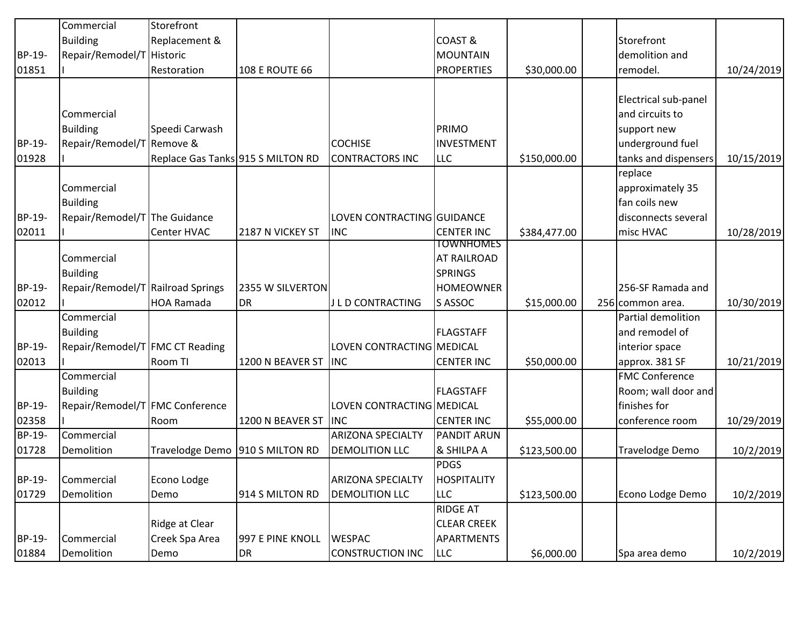|                 | Commercial                                         | Storefront                        |                               |                                        |                                |              |                                        |            |
|-----------------|----------------------------------------------------|-----------------------------------|-------------------------------|----------------------------------------|--------------------------------|--------------|----------------------------------------|------------|
|                 | <b>Building</b>                                    | Replacement &                     |                               |                                        | COAST&                         |              | Storefront                             |            |
| BP-19-          | Repair/Remodel/T Historic                          |                                   |                               |                                        | <b>MOUNTAIN</b>                |              | demolition and                         |            |
| 01851           |                                                    | Restoration                       | <b>108 E ROUTE 66</b>         |                                        | <b>PROPERTIES</b>              | \$30,000.00  | remodel.                               | 10/24/2019 |
|                 |                                                    |                                   |                               |                                        |                                |              |                                        |            |
|                 |                                                    |                                   |                               |                                        |                                |              | Electrical sub-panel                   |            |
|                 | Commercial                                         |                                   |                               |                                        |                                |              | and circuits to                        |            |
|                 | <b>Building</b>                                    | Speedi Carwash                    |                               |                                        | PRIMO                          |              | support new                            |            |
| BP-19-          | Repair/Remodel/T Remove &                          |                                   |                               | <b>COCHISE</b>                         | <b>INVESTMENT</b>              |              | underground fuel                       |            |
| 01928           |                                                    | Replace Gas Tanks 915 S MILTON RD |                               | <b>CONTRACTORS INC</b>                 | <b>LLC</b>                     | \$150,000.00 | tanks and dispensers                   | 10/15/2019 |
|                 |                                                    |                                   |                               |                                        |                                |              | replace                                |            |
|                 | Commercial                                         |                                   |                               |                                        |                                |              | approximately 35                       |            |
|                 | <b>Building</b>                                    |                                   |                               |                                        |                                |              | fan coils new                          |            |
| BP-19-          | Repair/Remodel/T The Guidance                      |                                   |                               | LOVEN CONTRACTING GUIDANCE             |                                |              | disconnects several                    |            |
| 02011           |                                                    | Center HVAC                       | 2187 N VICKEY ST              | <b>INC</b>                             | <b>CENTER INC</b><br>TOWNHOMES | \$384,477.00 | misc HVAC                              | 10/28/2019 |
|                 | Commercial                                         |                                   |                               |                                        | <b>AT RAILROAD</b>             |              |                                        |            |
|                 |                                                    |                                   |                               |                                        |                                |              |                                        |            |
|                 | <b>Building</b>                                    |                                   |                               |                                        | <b>SPRINGS</b>                 |              |                                        |            |
| BP-19-<br>02012 | Repair/Remodel/T Railroad Springs                  | HOA Ramada                        | 2355 W SILVERTON<br><b>DR</b> | J L D CONTRACTING                      | <b>HOMEOWNER</b><br>S ASSOC    |              | 256-SF Ramada and                      |            |
|                 | Commercial                                         |                                   |                               |                                        |                                | \$15,000.00  | 256 common area.<br>Partial demolition | 10/30/2019 |
|                 |                                                    |                                   |                               |                                        |                                |              |                                        |            |
| BP-19-          | <b>Building</b>                                    |                                   |                               |                                        | <b>FLAGSTAFF</b>               |              | and remodel of                         |            |
|                 | Repair/Remodel/T FMC CT Reading                    |                                   |                               | LOVEN CONTRACTING MEDICAL              |                                |              | interior space                         |            |
| 02013           |                                                    | Room TI                           | 1200 N BEAVER ST              | <b>INC</b>                             | <b>CENTER INC</b>              | \$50,000.00  | approx. 381 SF                         | 10/21/2019 |
|                 | Commercial                                         |                                   |                               |                                        |                                |              | <b>FMC Conference</b>                  |            |
| BP-19-          | <b>Building</b><br>Repair/Remodel/T FMC Conference |                                   |                               |                                        | <b>FLAGSTAFF</b>               |              | Room; wall door and<br>finishes for    |            |
|                 |                                                    |                                   |                               | LOVEN CONTRACTING MEDICAL              | <b>CENTER INC</b>              |              |                                        |            |
| 02358<br>BP-19- | Commercial                                         | Room                              | 1200 N BEAVER ST              | <b>INC</b><br><b>ARIZONA SPECIALTY</b> | <b>PANDIT ARUN</b>             | \$55,000.00  | conference room                        | 10/29/2019 |
| 01728           | Demolition                                         | Travelodge Demo 910 S MILTON RD   |                               |                                        | & SHILPA A                     |              |                                        |            |
|                 |                                                    |                                   |                               | <b>DEMOLITION LLC</b>                  | <b>PDGS</b>                    | \$123,500.00 | Travelodge Demo                        | 10/2/2019  |
| BP-19-          | Commercial                                         | Econo Lodge                       |                               | <b>ARIZONA SPECIALTY</b>               | <b>HOSPITALITY</b>             |              |                                        |            |
| 01729           | Demolition                                         | Demo                              | 914 S MILTON RD               | <b>DEMOLITION LLC</b>                  | <b>LLC</b>                     |              | Econo Lodge Demo                       |            |
|                 |                                                    |                                   |                               |                                        | <b>RIDGE AT</b>                | \$123,500.00 |                                        | 10/2/2019  |
|                 |                                                    |                                   |                               |                                        | <b>CLEAR CREEK</b>             |              |                                        |            |
|                 |                                                    | Ridge at Clear                    | 997 E PINE KNOLL              | <b>WESPAC</b>                          |                                |              |                                        |            |
| BP-19-          | Commercial                                         | Creek Spa Area                    |                               |                                        | <b>APARTMENTS</b>              |              |                                        |            |
| 01884           | Demolition                                         | Demo                              | <b>DR</b>                     | <b>CONSTRUCTION INC</b>                | <b>LLC</b>                     | \$6,000.00   | Spa area demo                          | 10/2/2019  |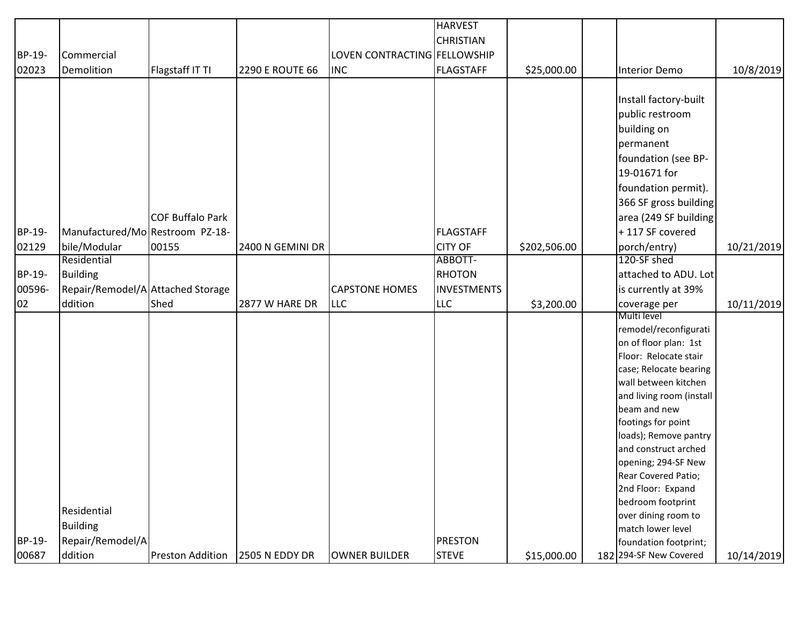|        |                                   |                         |                        |                              | <b>HARVEST</b>     |              |                                            |            |
|--------|-----------------------------------|-------------------------|------------------------|------------------------------|--------------------|--------------|--------------------------------------------|------------|
|        |                                   |                         |                        |                              | <b>CHRISTIAN</b>   |              |                                            |            |
| BP-19- | Commercial                        |                         |                        | LOVEN CONTRACTING FELLOWSHIP |                    |              |                                            |            |
| 02023  | Demolition                        | Flagstaff IT TI         | <b>2290 E ROUTE 66</b> | <b>INC</b>                   | <b>FLAGSTAFF</b>   | \$25,000.00  | <b>Interior Demo</b>                       | 10/8/2019  |
|        |                                   |                         |                        |                              |                    |              |                                            |            |
|        |                                   |                         |                        |                              |                    |              | Install factory-built                      |            |
|        |                                   |                         |                        |                              |                    |              | public restroom                            |            |
|        |                                   |                         |                        |                              |                    |              | building on                                |            |
|        |                                   |                         |                        |                              |                    |              | permanent                                  |            |
|        |                                   |                         |                        |                              |                    |              | foundation (see BP-                        |            |
|        |                                   |                         |                        |                              |                    |              | 19-01671 for                               |            |
|        |                                   |                         |                        |                              |                    |              | foundation permit).                        |            |
|        |                                   |                         |                        |                              |                    |              |                                            |            |
|        |                                   |                         |                        |                              |                    |              | 366 SF gross building                      |            |
|        |                                   | <b>COF Buffalo Park</b> |                        |                              |                    |              | area (249 SF building                      |            |
| BP-19- | Manufactured/Mo Restroom PZ-18-   |                         |                        |                              | <b>FLAGSTAFF</b>   |              | +117 SF covered                            |            |
| 02129  | bile/Modular                      | 00155                   | 2400 N GEMINI DR       |                              | <b>CITY OF</b>     | \$202,506.00 | porch/entry)                               | 10/21/2019 |
|        | Residential                       |                         |                        |                              | ABBOTT-            |              | 120-SF shed                                |            |
| BP-19- | <b>Building</b>                   |                         |                        |                              | <b>RHOTON</b>      |              | attached to ADU. Lot                       |            |
| 00596- | Repair/Remodel/A Attached Storage |                         |                        | <b>CAPSTONE HOMES</b>        | <b>INVESTMENTS</b> |              | is currently at 39%                        |            |
| 02     | ddition                           | Shed                    | 2877 W HARE DR         | <b>LLC</b>                   | <b>LLC</b>         | \$3,200.00   | coverage per                               | 10/11/2019 |
|        |                                   |                         |                        |                              |                    |              | Multi level                                |            |
|        |                                   |                         |                        |                              |                    |              | remodel/reconfigurati                      |            |
|        |                                   |                         |                        |                              |                    |              | on of floor plan: 1st                      |            |
|        |                                   |                         |                        |                              |                    |              | Floor: Relocate stair                      |            |
|        |                                   |                         |                        |                              |                    |              | case; Relocate bearing                     |            |
|        |                                   |                         |                        |                              |                    |              | wall between kitchen                       |            |
|        |                                   |                         |                        |                              |                    |              | and living room (install                   |            |
|        |                                   |                         |                        |                              |                    |              | beam and new                               |            |
|        |                                   |                         |                        |                              |                    |              | footings for point                         |            |
|        |                                   |                         |                        |                              |                    |              | loads); Remove pantry                      |            |
|        |                                   |                         |                        |                              |                    |              | and construct arched                       |            |
|        |                                   |                         |                        |                              |                    |              | opening; 294-SF New<br>Rear Covered Patio; |            |
|        |                                   |                         |                        |                              |                    |              |                                            |            |
|        |                                   |                         |                        |                              |                    |              | 2nd Floor: Expand<br>bedroom footprint     |            |
|        | Residential                       |                         |                        |                              |                    |              | over dining room to                        |            |
|        | <b>Building</b>                   |                         |                        |                              |                    |              | match lower level                          |            |
| BP-19- | Repair/Remodel/A                  |                         |                        |                              | <b>PRESTON</b>     |              | foundation footprint;                      |            |
| 00687  | ddition                           | Preston Addition        | <b>2505 N EDDY DR</b>  | OWNER BUILDER                | <b>STEVE</b>       | \$15,000.00  | 182 294-SF New Covered                     | 10/14/2019 |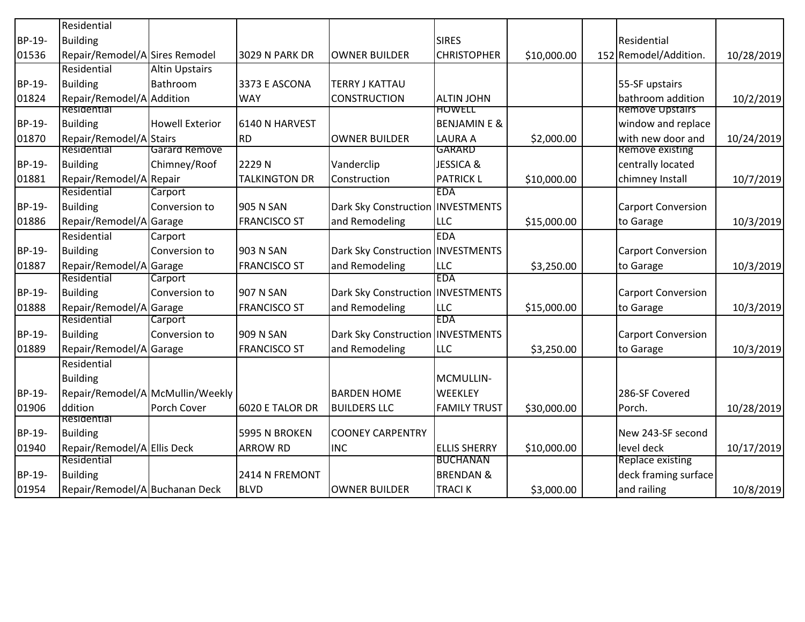|        | Residential                      |                        |                       |                                     |                         |             |                           |            |
|--------|----------------------------------|------------------------|-----------------------|-------------------------------------|-------------------------|-------------|---------------------------|------------|
| BP-19- | <b>Building</b>                  |                        |                       |                                     | <b>SIRES</b>            |             | Residential               |            |
| 01536  | Repair/Remodel/A Sires Remodel   |                        | <b>3029 N PARK DR</b> | <b>OWNER BUILDER</b>                | <b>CHRISTOPHER</b>      | \$10,000.00 | 152 Remodel/Addition.     | 10/28/2019 |
|        | Residential                      | <b>Altin Upstairs</b>  |                       |                                     |                         |             |                           |            |
| BP-19- | <b>Building</b>                  | Bathroom               | 3373 E ASCONA         | <b>TERRY J KATTAU</b>               |                         |             | 55-SF upstairs            |            |
| 01824  | Repair/Remodel/A Addition        |                        | <b>WAY</b>            | <b>CONSTRUCTION</b>                 | <b>ALTIN JOHN</b>       |             | bathroom addition         | 10/2/2019  |
|        | Residential                      |                        |                       |                                     | <b>HOWELL</b>           |             | <b>Remove Upstairs</b>    |            |
| BP-19- | <b>Building</b>                  | <b>Howell Exterior</b> | 6140 N HARVEST        |                                     | <b>BENJAMIN E &amp;</b> |             | window and replace        |            |
| 01870  | Repair/Remodel/A Stairs          |                        | <b>RD</b>             | <b>OWNER BUILDER</b>                | LAURA A                 | \$2,000.00  | with new door and         | 10/24/2019 |
|        | Residential                      | Garard Remove          |                       |                                     | <b>GARARD</b>           |             | <b>Remove existing</b>    |            |
| BP-19- | <b>Building</b>                  | Chimney/Roof           | 2229N                 | Vanderclip                          | <b>JESSICA &amp;</b>    |             | centrally located         |            |
| 01881  | Repair/Remodel/A Repair          |                        | <b>TALKINGTON DR</b>  | Construction                        | <b>PATRICK L</b>        | \$10,000.00 | chimney Install           | 10/7/2019  |
|        | Residential                      | Carport                |                       |                                     | <b>EDA</b>              |             |                           |            |
| BP-19- | <b>Building</b>                  | Conversion to          | 905 N SAN             | Dark Sky Construction INVESTMENTS   |                         |             | <b>Carport Conversion</b> |            |
| 01886  | Repair/Remodel/A Garage          |                        | <b>FRANCISCO ST</b>   | and Remodeling                      | <b>LLC</b>              | \$15,000.00 | to Garage                 | 10/3/2019  |
|        | Residential                      | Carport                |                       |                                     | <b>EDA</b>              |             |                           |            |
| BP-19- | <b>Building</b>                  | Conversion to          | 903 N SAN             | Dark Sky Construction INVESTMENTS   |                         |             | <b>Carport Conversion</b> |            |
| 01887  | Repair/Remodel/A Garage          |                        | <b>FRANCISCO ST</b>   | and Remodeling                      | <b>LLC</b>              | \$3,250.00  | to Garage                 | 10/3/2019  |
|        | Residential                      | Carport                |                       |                                     | <b>EDA</b>              |             |                           |            |
| BP-19- | <b>Building</b>                  | Conversion to          | 907 N SAN             | Dark Sky Construction INVESTMENTS   |                         |             | <b>Carport Conversion</b> |            |
| 01888  | Repair/Remodel/A Garage          |                        | <b>FRANCISCO ST</b>   | and Remodeling                      | <b>LLC</b>              | \$15,000.00 | to Garage                 | 10/3/2019  |
|        | Residential                      | Carport                |                       |                                     | <b>EDA</b>              |             |                           |            |
| BP-19- | <b>Building</b>                  | Conversion to          | 909 N SAN             | Dark Sky Construction   INVESTMENTS |                         |             | <b>Carport Conversion</b> |            |
| 01889  | Repair/Remodel/A Garage          |                        | <b>FRANCISCO ST</b>   | and Remodeling                      | <b>LLC</b>              | \$3,250.00  | to Garage                 | 10/3/2019  |
|        | Residential                      |                        |                       |                                     |                         |             |                           |            |
|        | <b>Building</b>                  |                        |                       |                                     | MCMULLIN-               |             |                           |            |
| BP-19- | Repair/Remodel/A McMullin/Weekly |                        |                       | <b>BARDEN HOME</b>                  | <b>WEEKLEY</b>          |             | 286-SF Covered            |            |
| 01906  | ddition                          | Porch Cover            | 6020 E TALOR DR       | <b>BUILDERS LLC</b>                 | <b>FAMILY TRUST</b>     | \$30,000.00 | Porch.                    | 10/28/2019 |
|        | Residential                      |                        |                       |                                     |                         |             |                           |            |
| BP-19- | <b>Building</b>                  |                        | 5995 N BROKEN         | <b>COONEY CARPENTRY</b>             |                         |             | New 243-SF second         |            |
| 01940  | Repair/Remodel/A Ellis Deck      |                        | <b>ARROW RD</b>       | <b>INC</b>                          | <b>ELLIS SHERRY</b>     | \$10,000.00 | level deck                | 10/17/2019 |
|        | Residential                      |                        |                       |                                     | <b>BUCHANAN</b>         |             | Replace existing          |            |
| BP-19- | <b>Building</b>                  |                        | 2414 N FREMONT        |                                     | <b>BRENDAN &amp;</b>    |             | deck framing surface      |            |
| 01954  | Repair/Remodel/A Buchanan Deck   |                        | <b>BLVD</b>           | <b>OWNER BUILDER</b>                | <b>TRACIK</b>           | \$3,000.00  | and railing               | 10/8/2019  |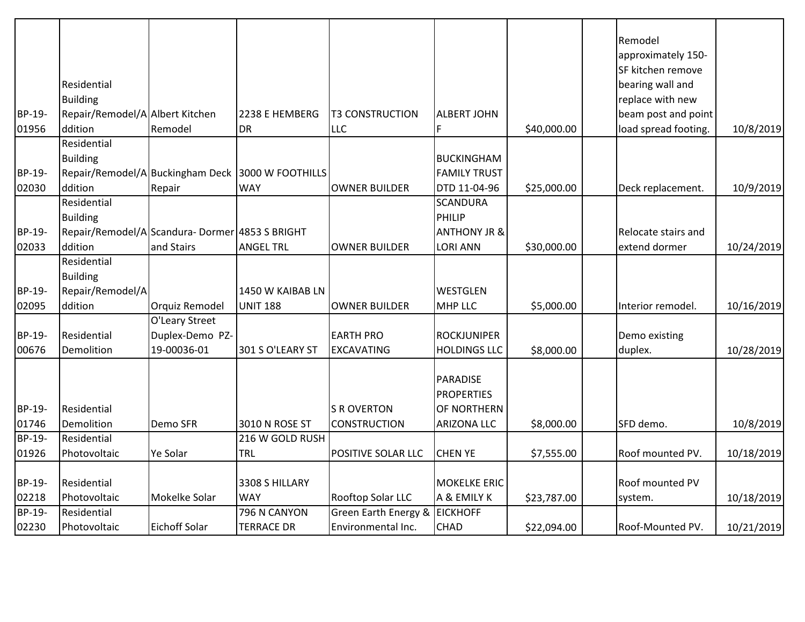|               |                                                |                 |                                                   |                                 |                         |             | Remodel<br>approximately 150- |            |
|---------------|------------------------------------------------|-----------------|---------------------------------------------------|---------------------------------|-------------------------|-------------|-------------------------------|------------|
|               |                                                |                 |                                                   |                                 |                         |             | SF kitchen remove             |            |
|               | Residential                                    |                 |                                                   |                                 |                         |             | bearing wall and              |            |
|               | <b>Building</b>                                |                 |                                                   |                                 |                         |             | replace with new              |            |
| BP-19-        | Repair/Remodel/A Albert Kitchen                |                 | 2238 E HEMBERG                                    | <b>T3 CONSTRUCTION</b>          | <b>ALBERT JOHN</b>      |             | beam post and point           |            |
| 01956         | ddition                                        | Remodel         | <b>DR</b>                                         | LLC                             | F                       | \$40,000.00 | load spread footing.          | 10/8/2019  |
|               | Residential                                    |                 |                                                   |                                 |                         |             |                               |            |
|               | <b>Building</b>                                |                 |                                                   |                                 | <b>BUCKINGHAM</b>       |             |                               |            |
| BP-19-        |                                                |                 | Repair/Remodel/A Buckingham Deck 3000 W FOOTHILLS |                                 | <b>FAMILY TRUST</b>     |             |                               |            |
| 02030         | ddition                                        | Repair          | <b>WAY</b>                                        | <b>OWNER BUILDER</b>            | DTD 11-04-96            | \$25,000.00 | Deck replacement.             | 10/9/2019  |
|               | Residential                                    |                 |                                                   |                                 | <b>SCANDURA</b>         |             |                               |            |
|               | <b>Building</b>                                |                 |                                                   |                                 | PHILIP                  |             |                               |            |
| BP-19-        | Repair/Remodel/A Scandura-Dormer 4853 S BRIGHT |                 |                                                   |                                 | <b>ANTHONY JR &amp;</b> |             | Relocate stairs and           |            |
| 02033         | ddition                                        | and Stairs      | <b>ANGEL TRL</b>                                  | <b>OWNER BUILDER</b>            | LORI ANN                | \$30,000.00 | extend dormer                 | 10/24/2019 |
|               | Residential                                    |                 |                                                   |                                 |                         |             |                               |            |
|               | <b>Building</b>                                |                 |                                                   |                                 |                         |             |                               |            |
| BP-19-        | Repair/Remodel/A                               |                 | 1450 W KAIBAB LN                                  |                                 | WESTGLEN                |             |                               |            |
| 02095         | ddition                                        | Orquiz Remodel  | <b>UNIT 188</b>                                   | <b>OWNER BUILDER</b>            | <b>MHP LLC</b>          | \$5,000.00  | Interior remodel.             | 10/16/2019 |
|               |                                                | O'Leary Street  |                                                   |                                 |                         |             |                               |            |
| BP-19-        | Residential                                    | Duplex-Demo PZ- |                                                   | <b>EARTH PRO</b>                | <b>ROCKJUNIPER</b>      |             | Demo existing                 |            |
| 00676         | Demolition                                     | 19-00036-01     | 301 S O'LEARY ST                                  | <b>EXCAVATING</b>               | <b>HOLDINGS LLC</b>     | \$8,000.00  | duplex.                       | 10/28/2019 |
|               |                                                |                 |                                                   |                                 | <b>PARADISE</b>         |             |                               |            |
|               |                                                |                 |                                                   |                                 | <b>PROPERTIES</b>       |             |                               |            |
| BP-19-        | Residential                                    |                 |                                                   | <b>S R OVERTON</b>              | OF NORTHERN             |             |                               |            |
| 01746         | Demolition                                     | Demo SFR        | 3010 N ROSE ST                                    | <b>CONSTRUCTION</b>             | ARIZONA LLC             | \$8,000.00  | SFD demo.                     | 10/8/2019  |
| <b>BP-19-</b> | Residential                                    |                 | 216 W GOLD RUSH                                   |                                 |                         |             |                               |            |
| 01926         | Photovoltaic                                   | Ye Solar        | <b>TRL</b>                                        | POSITIVE SOLAR LLC              | <b>CHEN YE</b>          | \$7,555.00  | Roof mounted PV.              | 10/18/2019 |
|               |                                                |                 |                                                   |                                 |                         |             |                               |            |
| BP-19-        | Residential                                    |                 | 3308 S HILLARY                                    |                                 | <b>MOKELKE ERIC</b>     |             | Roof mounted PV               |            |
| 02218         | Photovoltaic                                   | Mokelke Solar   | <b>WAY</b>                                        | Rooftop Solar LLC               | A & EMILY K             | \$23,787.00 | system.                       | 10/18/2019 |
| BP-19-        | Residential                                    |                 | 796 N CANYON                                      | <b>Green Earth Energy &amp;</b> | <b>EICKHOFF</b>         |             |                               |            |
| 02230         | Photovoltaic                                   | Eichoff Solar   | <b>TERRACE DR</b>                                 | Environmental Inc.              | <b>CHAD</b>             | \$22,094.00 | Roof-Mounted PV.              | 10/21/2019 |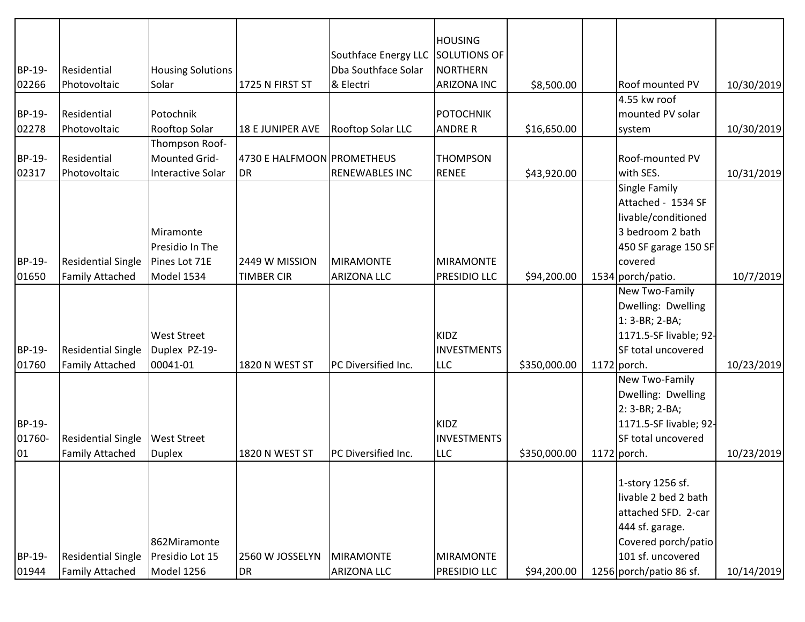|        |                           |                          |                            |                       | <b>HOUSING</b>      |              |                         |            |
|--------|---------------------------|--------------------------|----------------------------|-----------------------|---------------------|--------------|-------------------------|------------|
|        |                           |                          |                            | Southface Energy LLC  | <b>SOLUTIONS OF</b> |              |                         |            |
| BP-19- | Residential               | <b>Housing Solutions</b> |                            | Dba Southface Solar   | <b>NORTHERN</b>     |              |                         |            |
| 02266  | Photovoltaic              | Solar                    | 1725 N FIRST ST            | & Electri             | <b>ARIZONA INC</b>  | \$8,500.00   | <b>Roof mounted PV</b>  | 10/30/2019 |
|        |                           |                          |                            |                       |                     |              | 4.55 kw roof            |            |
| BP-19- | Residential               | Potochnik                |                            |                       | <b>POTOCHNIK</b>    |              | mounted PV solar        |            |
| 02278  | Photovoltaic              | Rooftop Solar            | 18 E JUNIPER AVE           | Rooftop Solar LLC     | <b>ANDRE R</b>      | \$16,650.00  | system                  | 10/30/2019 |
|        |                           | Thompson Roof-           |                            |                       |                     |              |                         |            |
| BP-19- | Residential               | Mounted Grid-            | 4730 E HALFMOON PROMETHEUS |                       | <b>THOMPSON</b>     |              | Roof-mounted PV         |            |
| 02317  | Photovoltaic              | Interactive Solar        | <b>DR</b>                  | <b>RENEWABLES INC</b> | <b>RENEE</b>        | \$43,920.00  | with SES.               | 10/31/2019 |
|        |                           |                          |                            |                       |                     |              | <b>Single Family</b>    |            |
|        |                           |                          |                            |                       |                     |              | Attached - 1534 SF      |            |
|        |                           |                          |                            |                       |                     |              | livable/conditioned     |            |
|        |                           | Miramonte                |                            |                       |                     |              | 3 bedroom 2 bath        |            |
|        |                           | Presidio In The          |                            |                       |                     |              | 450 SF garage 150 SF    |            |
| BP-19- | <b>Residential Single</b> | Pines Lot 71E            | 2449 W MISSION             | <b>MIRAMONTE</b>      | <b>MIRAMONTE</b>    |              | covered                 |            |
| 01650  | <b>Family Attached</b>    | Model 1534               | <b>TIMBER CIR</b>          | <b>ARIZONA LLC</b>    | <b>PRESIDIO LLC</b> | \$94,200.00  | 1534 porch/patio.       | 10/7/2019  |
|        |                           |                          |                            |                       |                     |              | New Two-Family          |            |
|        |                           |                          |                            |                       |                     |              | Dwelling: Dwelling      |            |
|        |                           |                          |                            |                       |                     |              | 1: 3-BR; 2-BA;          |            |
|        |                           | <b>West Street</b>       |                            |                       | KIDZ                |              | 1171.5-SF livable; 92-  |            |
| BP-19- | <b>Residential Single</b> | Duplex PZ-19-            |                            |                       | <b>INVESTMENTS</b>  |              | SF total uncovered      |            |
| 01760  | <b>Family Attached</b>    | 00041-01                 | 1820 N WEST ST             | PC Diversified Inc.   | <b>LLC</b>          | \$350,000.00 | $1172$ porch.           | 10/23/2019 |
|        |                           |                          |                            |                       |                     |              | New Two-Family          |            |
|        |                           |                          |                            |                       |                     |              | Dwelling: Dwelling      |            |
|        |                           |                          |                            |                       |                     |              | 2: 3-BR; 2-BA;          |            |
| BP-19- |                           |                          |                            |                       | <b>KIDZ</b>         |              | 1171.5-SF livable; 92-  |            |
| 01760- | <b>Residential Single</b> | <b>West Street</b>       |                            |                       | <b>INVESTMENTS</b>  |              | SF total uncovered      |            |
| 01     | <b>Family Attached</b>    | <b>Duplex</b>            | 1820 N WEST ST             | PC Diversified Inc.   | LLC                 | \$350,000.00 | $1172$ porch.           | 10/23/2019 |
|        |                           |                          |                            |                       |                     |              |                         |            |
|        |                           |                          |                            |                       |                     |              | 1-story 1256 sf.        |            |
|        |                           |                          |                            |                       |                     |              | livable 2 bed 2 bath    |            |
|        |                           |                          |                            |                       |                     |              | attached SFD. 2-car     |            |
|        |                           |                          |                            |                       |                     |              | 444 sf. garage.         |            |
|        |                           | 862Miramonte             |                            |                       |                     |              | Covered porch/patio     |            |
| BP-19- | <b>Residential Single</b> | Presidio Lot 15          | 2560 W JOSSELYN            | <b>MIRAMONTE</b>      | <b>MIRAMONTE</b>    |              | 101 sf. uncovered       |            |
| 01944  | <b>Family Attached</b>    | Model 1256               | DR                         | <b>ARIZONA LLC</b>    | PRESIDIO LLC        | \$94,200.00  | 1256 porch/patio 86 sf. | 10/14/2019 |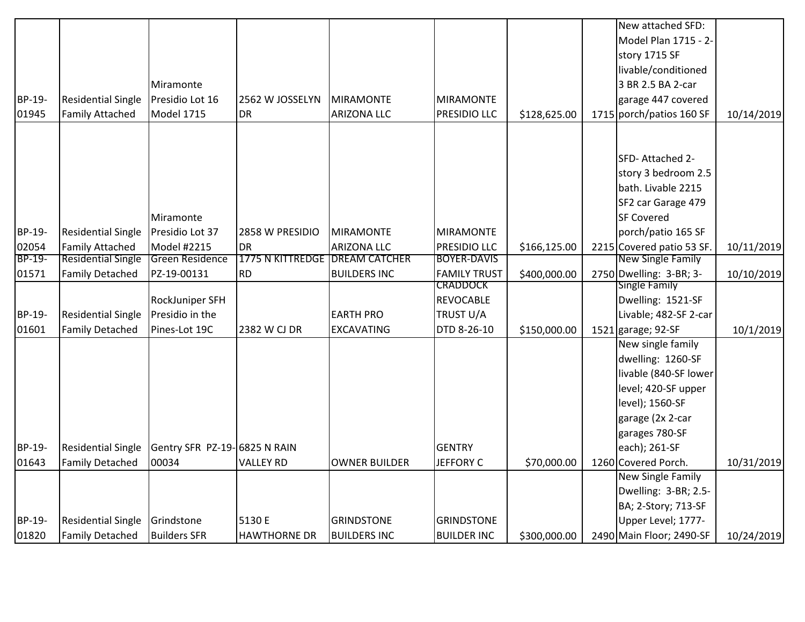|        |                           |                              |                         |                      |                     |              | New attached SFD:         |            |
|--------|---------------------------|------------------------------|-------------------------|----------------------|---------------------|--------------|---------------------------|------------|
|        |                           |                              |                         |                      |                     |              | Model Plan 1715 - 2-      |            |
|        |                           |                              |                         |                      |                     |              | story 1715 SF             |            |
|        |                           |                              |                         |                      |                     |              | livable/conditioned       |            |
|        |                           | Miramonte                    |                         |                      |                     |              | 3 BR 2.5 BA 2-car         |            |
| BP-19- | <b>Residential Single</b> | Presidio Lot 16              | 2562 W JOSSELYN         | <b>MIRAMONTE</b>     | <b>MIRAMONTE</b>    |              | garage 447 covered        |            |
| 01945  | <b>Family Attached</b>    | <b>Model 1715</b>            | <b>DR</b>               | <b>ARIZONA LLC</b>   | PRESIDIO LLC        | \$128,625.00 | 1715 porch/patios 160 SF  | 10/14/2019 |
|        |                           |                              |                         |                      |                     |              |                           |            |
|        |                           |                              |                         |                      |                     |              | SFD-Attached 2-           |            |
|        |                           |                              |                         |                      |                     |              | story 3 bedroom 2.5       |            |
|        |                           |                              |                         |                      |                     |              | bath. Livable 2215        |            |
|        |                           |                              |                         |                      |                     |              | SF2 car Garage 479        |            |
|        |                           | Miramonte                    |                         |                      |                     |              | <b>SF Covered</b>         |            |
| BP-19- | <b>Residential Single</b> | Presidio Lot 37              | 2858 W PRESIDIO         | <b>MIRAMONTE</b>     | <b>MIRAMONTE</b>    |              | porch/patio 165 SF        |            |
| 02054  | <b>Family Attached</b>    | Model #2215                  | <b>DR</b>               | <b>ARIZONA LLC</b>   | PRESIDIO LLC        | \$166,125.00 | 2215 Covered patio 53 SF. | 10/11/2019 |
| BP-19- | <b>Residential Single</b> | Green Residence              | <b>1775 N KITTREDGE</b> | <b>DREAM CATCHER</b> | <b>BOYER-DAVIS</b>  |              | <b>New Single Family</b>  |            |
| 01571  | <b>Family Detached</b>    | PZ-19-00131                  | <b>RD</b>               | <b>BUILDERS INC</b>  | <b>FAMILY TRUST</b> | \$400,000.00 | 2750 Dwelling: 3-BR; 3-   | 10/10/2019 |
|        |                           |                              |                         |                      | CRADDOCK            |              | <b>Single Family</b>      |            |
|        |                           | RockJuniper SFH              |                         |                      | <b>REVOCABLE</b>    |              | Dwelling: 1521-SF         |            |
| BP-19- | <b>Residential Single</b> | Presidio in the              |                         | <b>EARTH PRO</b>     | TRUST U/A           |              | Livable; 482-SF 2-car     |            |
| 01601  | <b>Family Detached</b>    | Pines-Lot 19C                | 2382 W CJ DR            | <b>EXCAVATING</b>    | DTD 8-26-10         | \$150,000.00 | 1521 garage; $92-SF$      | 10/1/2019  |
|        |                           |                              |                         |                      |                     |              | New single family         |            |
|        |                           |                              |                         |                      |                     |              | dwelling: 1260-SF         |            |
|        |                           |                              |                         |                      |                     |              | livable (840-SF lower     |            |
|        |                           |                              |                         |                      |                     |              | level; 420-SF upper       |            |
|        |                           |                              |                         |                      |                     |              | level); 1560-SF           |            |
|        |                           |                              |                         |                      |                     |              | garage (2x 2-car          |            |
|        |                           |                              |                         |                      |                     |              | garages 780-SF            |            |
| BP-19- | <b>Residential Single</b> | Gentry SFR PZ-19-6825 N RAIN |                         |                      | <b>GENTRY</b>       |              | each); 261-SF             |            |
| 01643  | <b>Family Detached</b>    | 00034                        | <b>VALLEY RD</b>        | <b>OWNER BUILDER</b> | <b>JEFFORY C</b>    | \$70,000.00  | 1260 Covered Porch.       | 10/31/2019 |
|        |                           |                              |                         |                      |                     |              | New Single Family         |            |
|        |                           |                              |                         |                      |                     |              | Dwelling: 3-BR; 2.5-      |            |
|        |                           |                              |                         |                      |                     |              | BA; 2-Story; 713-SF       |            |
| BP-19- | <b>Residential Single</b> | Grindstone                   | 5130 E                  | <b>GRINDSTONE</b>    | <b>GRINDSTONE</b>   |              | Upper Level; 1777-        |            |
| 01820  | <b>Family Detached</b>    | <b>Builders SFR</b>          | <b>HAWTHORNE DR</b>     | <b>BUILDERS INC</b>  | <b>BUILDER INC</b>  | \$300,000.00 | 2490 Main Floor; 2490-SF  | 10/24/2019 |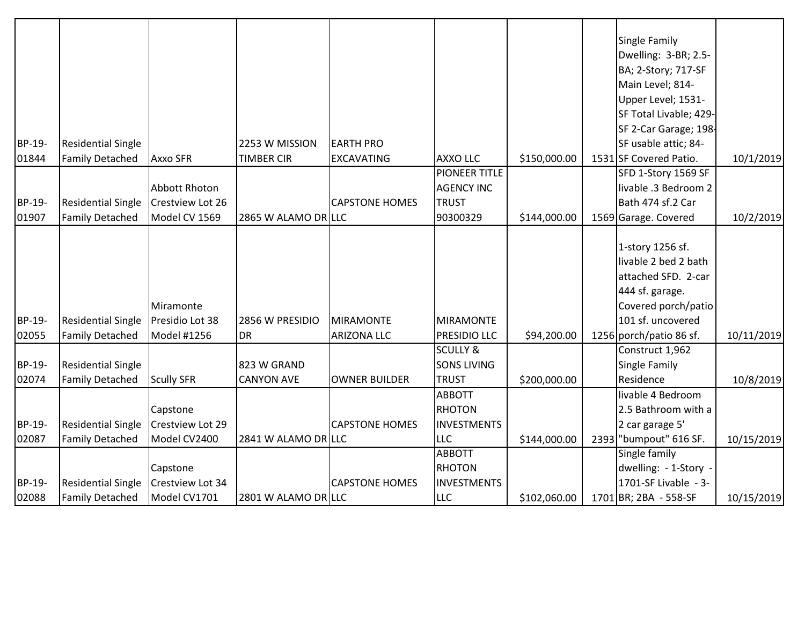|        |                           |                         |                     |                       |                     |              | Single Family           |            |
|--------|---------------------------|-------------------------|---------------------|-----------------------|---------------------|--------------|-------------------------|------------|
|        |                           |                         |                     |                       |                     |              | Dwelling: 3-BR; 2.5-    |            |
|        |                           |                         |                     |                       |                     |              | BA; 2-Story; 717-SF     |            |
|        |                           |                         |                     |                       |                     |              | Main Level; 814-        |            |
|        |                           |                         |                     |                       |                     |              | Upper Level; 1531-      |            |
|        |                           |                         |                     |                       |                     |              | SF Total Livable; 429-  |            |
|        |                           |                         |                     |                       |                     |              | SF 2-Car Garage; 198-   |            |
| BP-19- | <b>Residential Single</b> |                         | 2253 W MISSION      | <b>EARTH PRO</b>      |                     |              | SF usable attic; 84-    |            |
| 01844  | <b>Family Detached</b>    | <b>Axxo SFR</b>         | <b>TIMBER CIR</b>   | <b>EXCAVATING</b>     | <b>AXXO LLC</b>     | \$150,000.00 | 1531 SF Covered Patio.  | 10/1/2019  |
|        |                           |                         |                     |                       | PIONEER TITLE       |              | SFD 1-Story 1569 SF     |            |
|        |                           | Abbott Rhoton           |                     |                       | <b>AGENCY INC</b>   |              | livable .3 Bedroom 2    |            |
| BP-19- | <b>Residential Single</b> | Crestview Lot 26        |                     | <b>CAPSTONE HOMES</b> | <b>TRUST</b>        |              | Bath 474 sf.2 Car       |            |
| 01907  | <b>Family Detached</b>    | Model CV 1569           | 2865 W ALAMO DR LLC |                       | 90300329            | \$144,000.00 | 1569 Garage. Covered    | 10/2/2019  |
|        |                           |                         |                     |                       |                     |              |                         |            |
|        |                           |                         |                     |                       |                     |              | 1-story 1256 sf.        |            |
|        |                           |                         |                     |                       |                     |              | livable 2 bed 2 bath    |            |
|        |                           |                         |                     |                       |                     |              | attached SFD. 2-car     |            |
|        |                           |                         |                     |                       |                     |              | 444 sf. garage.         |            |
|        |                           | Miramonte               |                     |                       |                     |              | Covered porch/patio     |            |
| BP-19- | <b>Residential Single</b> | Presidio Lot 38         | 2856 W PRESIDIO     | <b>MIRAMONTE</b>      | <b>MIRAMONTE</b>    |              | 101 sf. uncovered       |            |
| 02055  | <b>Family Detached</b>    | Model #1256             | DR                  | <b>ARIZONA LLC</b>    | PRESIDIO LLC        | \$94,200.00  | 1256 porch/patio 86 sf. | 10/11/2019 |
|        |                           |                         |                     |                       | <b>SCULLY &amp;</b> |              | Construct 1,962         |            |
| BP-19- | <b>Residential Single</b> |                         | 823 W GRAND         |                       | <b>SONS LIVING</b>  |              | Single Family           |            |
| 02074  | <b>Family Detached</b>    | <b>Scully SFR</b>       | <b>CANYON AVE</b>   | <b>OWNER BUILDER</b>  | <b>TRUST</b>        | \$200,000.00 | Residence               | 10/8/2019  |
|        |                           |                         |                     |                       | <b>ABBOTT</b>       |              | livable 4 Bedroom       |            |
|        |                           | Capstone                |                     |                       | <b>RHOTON</b>       |              | 2.5 Bathroom with a     |            |
| BP-19- | <b>Residential Single</b> | <b>Crestview Lot 29</b> |                     | <b>CAPSTONE HOMES</b> | <b>INVESTMENTS</b>  |              | 2 car garage 5'         |            |
| 02087  | <b>Family Detached</b>    | Model CV2400            | 2841 W ALAMO DR LLC |                       | LLC                 | \$144,000.00 | 2393 "bumpout" 616 SF.  | 10/15/2019 |
|        |                           |                         |                     |                       | <b>ABBOTT</b>       |              | Single family           |            |
|        |                           | Capstone                |                     |                       | <b>RHOTON</b>       |              | dwelling: - 1-Story -   |            |
| BP-19- | <b>Residential Single</b> | <b>Crestview Lot 34</b> |                     | <b>CAPSTONE HOMES</b> | <b>INVESTMENTS</b>  |              | 1701-SF Livable - 3-    |            |
| 02088  | <b>Family Detached</b>    | Model CV1701            | 2801 W ALAMO DR LLC |                       | <b>LLC</b>          | \$102,060.00 | 1701 BR; 2BA - 558-SF   | 10/15/2019 |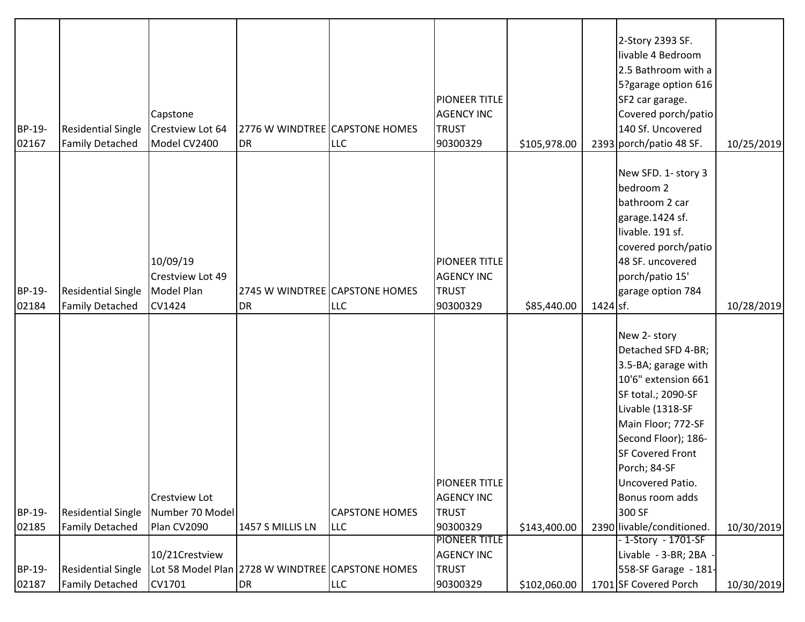| BP-19-<br>02167 | <b>Residential Single</b><br><b>Family Detached</b> | Capstone<br>Crestview Lot 64<br>Model CV2400 | 2776 W WINDTREE CAPSTONE HOMES<br><b>DR</b>      | <b>LLC</b>            | PIONEER TITLE<br><b>AGENCY INC</b><br><b>TRUST</b><br>90300329 | \$105,978.00 |            | 2-Story 2393 SF.<br>livable 4 Bedroom<br>2.5 Bathroom with a<br>5?garage option 616<br>SF2 car garage.<br>Covered porch/patio<br>140 Sf. Uncovered<br>2393 porch/patio 48 SF. | 10/25/2019 |
|-----------------|-----------------------------------------------------|----------------------------------------------|--------------------------------------------------|-----------------------|----------------------------------------------------------------|--------------|------------|-------------------------------------------------------------------------------------------------------------------------------------------------------------------------------|------------|
|                 |                                                     |                                              |                                                  |                       |                                                                |              |            | New SFD. 1- story 3                                                                                                                                                           |            |
|                 |                                                     |                                              |                                                  |                       |                                                                |              |            | bedroom 2                                                                                                                                                                     |            |
|                 |                                                     |                                              |                                                  |                       |                                                                |              |            | bathroom 2 car                                                                                                                                                                |            |
|                 |                                                     |                                              |                                                  |                       |                                                                |              |            | garage.1424 sf.                                                                                                                                                               |            |
|                 |                                                     |                                              |                                                  |                       |                                                                |              |            | livable. 191 sf.                                                                                                                                                              |            |
|                 |                                                     |                                              |                                                  |                       |                                                                |              |            | covered porch/patio                                                                                                                                                           |            |
|                 |                                                     | 10/09/19                                     |                                                  |                       | PIONEER TITLE                                                  |              |            | 48 SF. uncovered                                                                                                                                                              |            |
|                 |                                                     | Crestview Lot 49                             |                                                  |                       | <b>AGENCY INC</b>                                              |              |            | porch/patio 15'                                                                                                                                                               |            |
| BP-19-          | <b>Residential Single</b>                           | Model Plan                                   | 2745 W WINDTREE CAPSTONE HOMES                   |                       | <b>TRUST</b>                                                   |              |            | garage option 784                                                                                                                                                             |            |
| 02184           | <b>Family Detached</b>                              | CV1424                                       | <b>DR</b>                                        | <b>LLC</b>            | 90300329                                                       | \$85,440.00  | $1424$ sf. |                                                                                                                                                                               | 10/28/2019 |
|                 |                                                     |                                              |                                                  |                       |                                                                |              |            |                                                                                                                                                                               |            |
|                 |                                                     |                                              |                                                  |                       |                                                                |              |            | New 2- story                                                                                                                                                                  |            |
|                 |                                                     |                                              |                                                  |                       |                                                                |              |            | Detached SFD 4-BR;<br>3.5-BA; garage with                                                                                                                                     |            |
|                 |                                                     |                                              |                                                  |                       |                                                                |              |            | 10'6" extension 661                                                                                                                                                           |            |
|                 |                                                     |                                              |                                                  |                       |                                                                |              |            | SF total.; 2090-SF                                                                                                                                                            |            |
|                 |                                                     |                                              |                                                  |                       |                                                                |              |            | Livable (1318-SF                                                                                                                                                              |            |
|                 |                                                     |                                              |                                                  |                       |                                                                |              |            | Main Floor; 772-SF                                                                                                                                                            |            |
|                 |                                                     |                                              |                                                  |                       |                                                                |              |            | Second Floor); 186-                                                                                                                                                           |            |
|                 |                                                     |                                              |                                                  |                       |                                                                |              |            | <b>SF Covered Front</b>                                                                                                                                                       |            |
|                 |                                                     |                                              |                                                  |                       |                                                                |              |            | Porch; 84-SF                                                                                                                                                                  |            |
|                 |                                                     |                                              |                                                  |                       | PIONEER TITLE                                                  |              |            | Uncovered Patio.                                                                                                                                                              |            |
|                 |                                                     | <b>Crestview Lot</b>                         |                                                  |                       | <b>AGENCY INC</b>                                              |              |            | Bonus room adds                                                                                                                                                               |            |
| BP-19-          | <b>Residential Single</b>                           | Number 70 Model                              |                                                  | <b>CAPSTONE HOMES</b> | <b>TRUST</b>                                                   |              |            | 300 SF                                                                                                                                                                        |            |
| 02185           | <b>Family Detached</b>                              | Plan CV2090                                  | 1457 S MILLIS LN                                 | <b>LLC</b>            | 90300329                                                       | \$143,400.00 |            | 2390 livable/conditioned.                                                                                                                                                     | 10/30/2019 |
|                 |                                                     |                                              |                                                  |                       | <b>PIONEER TITLE</b>                                           |              |            | - 1-Story - 1701-SF                                                                                                                                                           |            |
|                 |                                                     | 10/21Crestview                               |                                                  |                       | <b>AGENCY INC</b>                                              |              |            | Livable - 3-BR; 2BA                                                                                                                                                           |            |
| BP-19-          | <b>Residential Single</b>                           |                                              | Lot 58 Model Plan 2728 W WINDTREE CAPSTONE HOMES |                       | <b>TRUST</b>                                                   |              |            | 558-SF Garage - 181-                                                                                                                                                          |            |
| 02187           | <b>Family Detached</b>                              | CV1701                                       | DR                                               | <b>LLC</b>            | 90300329                                                       | \$102,060.00 |            | 1701 SF Covered Porch                                                                                                                                                         | 10/30/2019 |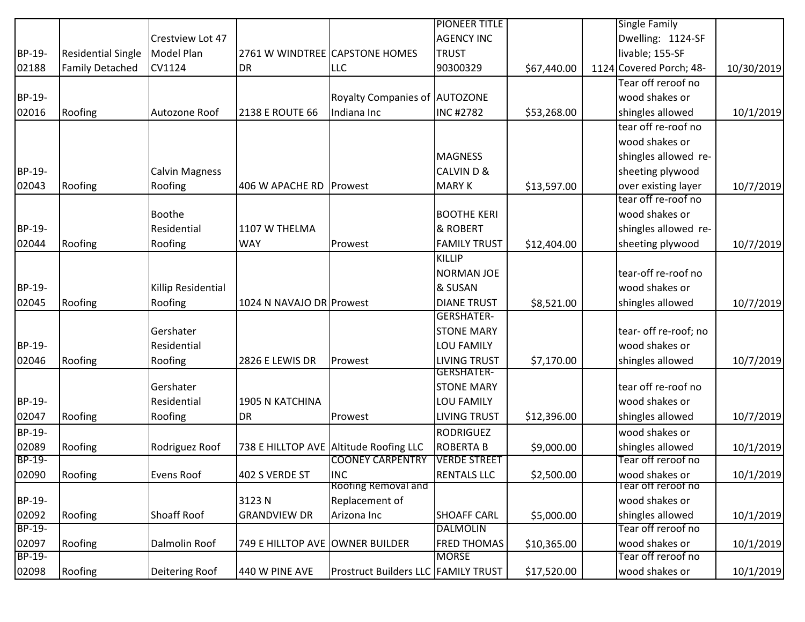|               |                           |                       |                                 |                                            | <b>PIONEER TITLE</b> |             | <b>Single Family</b>    |            |
|---------------|---------------------------|-----------------------|---------------------------------|--------------------------------------------|----------------------|-------------|-------------------------|------------|
|               |                           | Crestview Lot 47      |                                 |                                            | <b>AGENCY INC</b>    |             | Dwelling: 1124-SF       |            |
| BP-19-        | <b>Residential Single</b> | Model Plan            | 2761 W WINDTREE CAPSTONE HOMES  |                                            | <b>TRUST</b>         |             | livable; 155-SF         |            |
| 02188         | <b>Family Detached</b>    | <b>CV1124</b>         | <b>DR</b>                       | <b>LLC</b>                                 | 90300329             | \$67,440.00 | 1124 Covered Porch; 48- | 10/30/2019 |
|               |                           |                       |                                 |                                            |                      |             | Tear off reroof no      |            |
| BP-19-        |                           |                       |                                 | Royalty Companies of AUTOZONE              |                      |             | wood shakes or          |            |
| 02016         | Roofing                   | Autozone Roof         | 2138 E ROUTE 66                 | Indiana Inc                                | <b>INC#2782</b>      | \$53,268.00 | shingles allowed        | 10/1/2019  |
|               |                           |                       |                                 |                                            |                      |             | tear off re-roof no     |            |
|               |                           |                       |                                 |                                            |                      |             | wood shakes or          |            |
|               |                           |                       |                                 |                                            | <b>MAGNESS</b>       |             | shingles allowed re-    |            |
| BP-19-        |                           | <b>Calvin Magness</b> |                                 |                                            | <b>CALVIND&amp;</b>  |             | sheeting plywood        |            |
| 02043         | Roofing                   | Roofing               | 406 W APACHE RD Prowest         |                                            | <b>MARY K</b>        | \$13,597.00 | over existing layer     | 10/7/2019  |
|               |                           |                       |                                 |                                            |                      |             | tear off re-roof no     |            |
|               |                           | <b>Boothe</b>         |                                 |                                            | <b>BOOTHE KERI</b>   |             | wood shakes or          |            |
| BP-19-        |                           | Residential           | 1107 W THELMA                   |                                            | & ROBERT             |             | shingles allowed re-    |            |
| 02044         | Roofing                   | Roofing               | <b>WAY</b>                      | Prowest                                    | <b>FAMILY TRUST</b>  | \$12,404.00 | sheeting plywood        | 10/7/2019  |
|               |                           |                       |                                 |                                            | KILLIP               |             |                         |            |
|               |                           |                       |                                 |                                            | <b>NORMAN JOE</b>    |             | tear-off re-roof no     |            |
| BP-19-        |                           | Killip Residential    |                                 |                                            | & SUSAN              |             | wood shakes or          |            |
| 02045         | Roofing                   | Roofing               | 1024 N NAVAJO DR Prowest        |                                            | <b>DIANE TRUST</b>   | \$8,521.00  | shingles allowed        | 10/7/2019  |
|               |                           |                       |                                 |                                            | <b>GERSHATER-</b>    |             |                         |            |
|               |                           | Gershater             |                                 |                                            | <b>STONE MARY</b>    |             | tear- off re-roof; no   |            |
| BP-19-        |                           | Residential           |                                 |                                            | LOU FAMILY           |             | wood shakes or          |            |
| 02046         | Roofing                   | Roofing               | 2826 E LEWIS DR                 | Prowest                                    | <b>LIVING TRUST</b>  | \$7,170.00  | shingles allowed        | 10/7/2019  |
|               |                           |                       |                                 |                                            | <b>GERSHATER-</b>    |             |                         |            |
|               |                           | Gershater             |                                 |                                            | <b>STONE MARY</b>    |             | tear off re-roof no     |            |
| BP-19-        |                           | Residential           | 1905 N KATCHINA                 |                                            | LOU FAMILY           |             | wood shakes or          |            |
| 02047         | Roofing                   | Roofing               | <b>DR</b>                       | Prowest                                    | <b>LIVING TRUST</b>  | \$12,396.00 | shingles allowed        | 10/7/2019  |
| BP-19-        |                           |                       |                                 |                                            | <b>RODRIGUEZ</b>     |             | wood shakes or          |            |
| 02089         | Roofing                   | Rodriguez Roof        |                                 | 738 E HILLTOP AVE Altitude Roofing LLC     | <b>ROBERTA B</b>     | \$9,000.00  | shingles allowed        | 10/1/2019  |
| <b>BP-19-</b> |                           |                       |                                 | <b>COONEY CARPENTRY</b>                    | <b>VERDE STREET</b>  |             | Tear off reroof no      |            |
| 02090         | Roofing                   | Evens Roof            | 402 S VERDE ST                  | INC                                        | <b>RENTALS LLC</b>   | \$2,500.00  | wood shakes or          | 10/1/2019  |
|               |                           |                       |                                 | <b>Roofing Removal and</b>                 |                      |             | Tear off reroot no      |            |
| BP-19-        |                           |                       | 3123N                           | Replacement of                             |                      |             | wood shakes or          |            |
| 02092         | Roofing                   | <b>Shoaff Roof</b>    | <b>GRANDVIEW DR</b>             | Arizona Inc                                | <b>SHOAFF CARL</b>   | \$5,000.00  | shingles allowed        | 10/1/2019  |
| BP-19-        |                           |                       |                                 |                                            | <b>DALMOLIN</b>      |             | Tear off reroof no      |            |
| 02097         | Roofing                   | Dalmolin Roof         | 749 E HILLTOP AVE OWNER BUILDER |                                            | <b>FRED THOMAS</b>   | \$10,365.00 | wood shakes or          | 10/1/2019  |
| BP-19-        |                           |                       |                                 |                                            | <b>MORSE</b>         |             | Tear off reroof no      |            |
| 02098         | Roofing                   | Deitering Roof        | 440 W PINE AVE                  | <b>Prostruct Builders LLC FAMILY TRUST</b> |                      | \$17,520.00 | wood shakes or          | 10/1/2019  |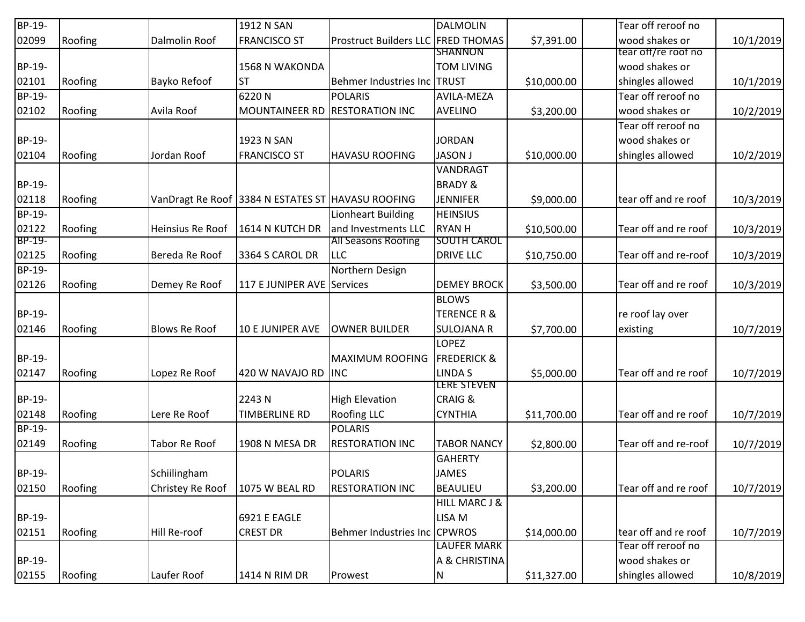| BP-19- |         |                      | 1912 N SAN                                        |                                    | <b>DALMOLIN</b>          |             | Tear off reroof no   |           |
|--------|---------|----------------------|---------------------------------------------------|------------------------------------|--------------------------|-------------|----------------------|-----------|
| 02099  | Roofing | Dalmolin Roof        | <b>FRANCISCO ST</b>                               | Prostruct Builders LLC FRED THOMAS |                          | \$7,391.00  | wood shakes or       | 10/1/2019 |
|        |         |                      |                                                   |                                    | <b>SHANNON</b>           |             | tear off/re roof no  |           |
| BP-19- |         |                      | <b>1568 N WAKONDA</b>                             |                                    | <b>TOM LIVING</b>        |             | wood shakes or       |           |
| 02101  | Roofing | Bayko Refoof         | <b>ST</b>                                         | Behmer Industries Inc TRUST        |                          | \$10,000.00 | shingles allowed     | 10/1/2019 |
| BP-19- |         |                      | 6220N                                             | <b>POLARIS</b>                     | AVILA-MEZA               |             | Tear off reroof no   |           |
| 02102  | Roofing | Avila Roof           | MOUNTAINEER RD RESTORATION INC                    |                                    | <b>AVELINO</b>           | \$3,200.00  | wood shakes or       | 10/2/2019 |
|        |         |                      |                                                   |                                    |                          |             | Tear off reroof no   |           |
| BP-19- |         |                      | 1923 N SAN                                        |                                    | <b>JORDAN</b>            |             | wood shakes or       |           |
| 02104  | Roofing | Jordan Roof          | <b>FRANCISCO ST</b>                               | <b>HAVASU ROOFING</b>              | <b>JASON J</b>           | \$10,000.00 | shingles allowed     | 10/2/2019 |
|        |         |                      |                                                   |                                    | VANDRAGT                 |             |                      |           |
| BP-19- |         |                      |                                                   |                                    | <b>BRADY &amp;</b>       |             |                      |           |
| 02118  | Roofing |                      | VanDragt Re Roof 3384 N ESTATES ST HAVASU ROOFING |                                    | <b>JENNIFER</b>          | \$9,000.00  | tear off and re roof | 10/3/2019 |
| BP-19- |         |                      |                                                   | Lionheart Building                 | <b>HEINSIUS</b>          |             |                      |           |
| 02122  | Roofing | Heinsius Re Roof     | 1614 N KUTCH DR                                   | and Investments LLC                | <b>RYAN H</b>            | \$10,500.00 | Tear off and re roof | 10/3/2019 |
| BP-19- |         |                      |                                                   | <b>All Seasons Roofing</b>         | <b>SOUTH CAROL</b>       |             |                      |           |
| 02125  | Roofing | Bereda Re Roof       | 3364 S CAROL DR                                   | <b>LLC</b>                         | <b>DRIVE LLC</b>         | \$10,750.00 | Tear off and re-roof | 10/3/2019 |
| BP-19- |         |                      |                                                   | Northern Design                    |                          |             |                      |           |
| 02126  | Roofing | Demey Re Roof        | 117 E JUNIPER AVE Services                        |                                    | <b>DEMEY BROCK</b>       | \$3,500.00  | Tear off and re roof | 10/3/2019 |
|        |         |                      |                                                   |                                    | <b>BLOWS</b>             |             |                      |           |
| BP-19- |         |                      |                                                   |                                    | TERENCE R &              |             | re roof lay over     |           |
| 02146  | Roofing | <b>Blows Re Roof</b> | <b>10 E JUNIPER AVE</b>                           | <b>OWNER BUILDER</b>               | <b>SULOJANA R</b>        | \$7,700.00  | existing             | 10/7/2019 |
|        |         |                      |                                                   |                                    | <b>LOPEZ</b>             |             |                      |           |
| BP-19- |         |                      |                                                   | <b>MAXIMUM ROOFING</b>             | <b>FREDERICK &amp;</b>   |             |                      |           |
| 02147  | Roofing | Lopez Re Roof        | 420 W NAVAJO RD                                   | <b>INC</b>                         | <b>LINDAS</b>            | \$5,000.00  | Tear off and re roof | 10/7/2019 |
|        |         |                      |                                                   |                                    | LERE STEVEN              |             |                      |           |
| BP-19- |         |                      | 2243 N                                            | <b>High Elevation</b>              | <b>CRAIG &amp;</b>       |             |                      |           |
| 02148  | Roofing | Lere Re Roof         | TIMBERLINE RD                                     | <b>Roofing LLC</b>                 | <b>CYNTHIA</b>           | \$11,700.00 | Tear off and re roof | 10/7/2019 |
| BP-19- |         |                      |                                                   | <b>POLARIS</b>                     |                          |             |                      |           |
| 02149  | Roofing | Tabor Re Roof        | 1908 N MESA DR                                    | <b>RESTORATION INC</b>             | <b>TABOR NANCY</b>       | \$2,800.00  | Tear off and re-roof | 10/7/2019 |
|        |         |                      |                                                   |                                    | <b>GAHERTY</b>           |             |                      |           |
| BP-19- |         | Schiilingham         |                                                   | <b>POLARIS</b>                     | <b>JAMES</b>             |             |                      |           |
| 02150  | Roofing | Christey Re Roof     | 1075 W BEAL RD                                    | <b>RESTORATION INC</b>             | <b>BEAULIEU</b>          | \$3,200.00  | Tear off and re roof | 10/7/2019 |
|        |         |                      |                                                   |                                    | <b>HILL MARC J &amp;</b> |             |                      |           |
| BP-19- |         |                      | 6921 E EAGLE                                      |                                    | LISA M                   |             |                      |           |
| 02151  | Roofing | Hill Re-roof         | <b>CREST DR</b>                                   | Behmer Industries Inc CPWROS       |                          | \$14,000.00 | tear off and re roof | 10/7/2019 |
|        |         |                      |                                                   |                                    | <b>LAUFER MARK</b>       |             | Tear off reroof no   |           |
| BP-19- |         |                      |                                                   |                                    | A & CHRISTINA            |             | wood shakes or       |           |
| 02155  | Roofing | Laufer Roof          | 1414 N RIM DR                                     | Prowest                            | N                        |             | shingles allowed     | 10/8/2019 |
|        |         |                      |                                                   |                                    |                          | \$11,327.00 |                      |           |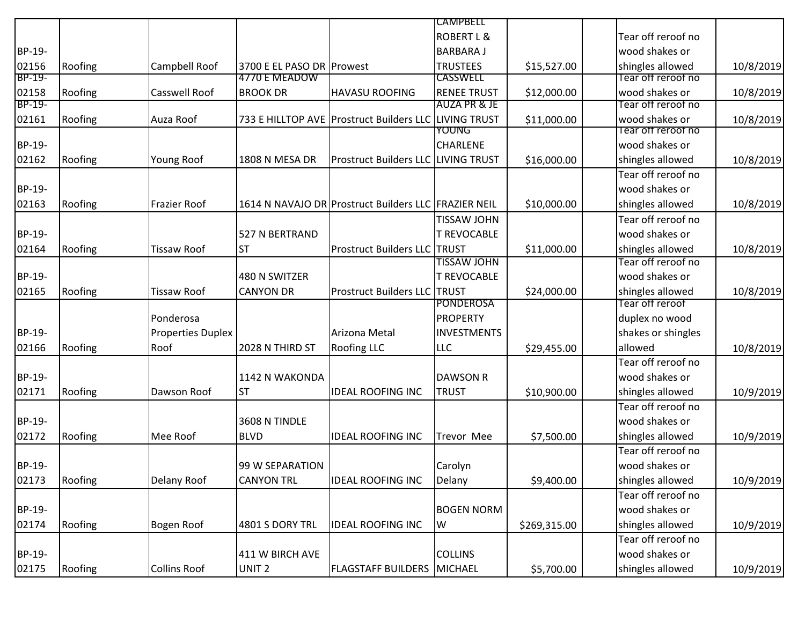|        |         |                          |                           |                                                       | <b>CAMPBELL</b>       |              |                    |           |
|--------|---------|--------------------------|---------------------------|-------------------------------------------------------|-----------------------|--------------|--------------------|-----------|
|        |         |                          |                           |                                                       | <b>ROBERT L &amp;</b> |              | Tear off reroof no |           |
| BP-19- |         |                          |                           |                                                       | <b>BARBARA J</b>      |              | wood shakes or     |           |
| 02156  | Roofing | Campbell Roof            | 3700 E EL PASO DR Prowest |                                                       | <b>TRUSTEES</b>       | \$15,527.00  | shingles allowed   | 10/8/2019 |
| BP-19- |         |                          | 4770 E MEADOW             |                                                       | <b>CASSWELL</b>       |              | Tear off reroot no |           |
| 02158  | Roofing | <b>Casswell Roof</b>     | <b>BROOK DR</b>           | <b>HAVASU ROOFING</b>                                 | <b>RENEE TRUST</b>    | \$12,000.00  | wood shakes or     | 10/8/2019 |
| BP-19- |         |                          |                           |                                                       | AUZA PR & JE          |              | Tear off reroof no |           |
| 02161  | Roofing | Auza Roof                |                           | 733 E HILLTOP AVE Prostruct Builders LLC LIVING TRUST |                       | \$11,000.00  | wood shakes or     | 10/8/2019 |
|        |         |                          |                           |                                                       | <b>YOUNG</b>          |              | lear off reroot no |           |
| BP-19- |         |                          |                           |                                                       | <b>CHARLENE</b>       |              | wood shakes or     |           |
| 02162  | Roofing | Young Roof               | 1808 N MESA DR            | <b>Prostruct Builders LLC LIVING TRUST</b>            |                       | \$16,000.00  | shingles allowed   | 10/8/2019 |
|        |         |                          |                           |                                                       |                       |              | Tear off reroof no |           |
| BP-19- |         |                          |                           |                                                       |                       |              | wood shakes or     |           |
| 02163  | Roofing | <b>Frazier Roof</b>      |                           | 1614 N NAVAJO DR Prostruct Builders LLC FRAZIER NEIL  |                       | \$10,000.00  | shingles allowed   | 10/8/2019 |
|        |         |                          |                           |                                                       | TISSAW JOHN           |              | Tear off reroof no |           |
| BP-19- |         |                          | 527 N BERTRAND            |                                                       | <b>T REVOCABLE</b>    |              | wood shakes or     |           |
| 02164  | Roofing | <b>Tissaw Roof</b>       | <b>ST</b>                 | <b>Prostruct Builders LLC TRUST</b>                   |                       | \$11,000.00  | shingles allowed   | 10/8/2019 |
|        |         |                          |                           |                                                       | <b>TISSAW JOHN</b>    |              | Tear off reroof no |           |
| BP-19- |         |                          | 480 N SWITZER             |                                                       | <b>T REVOCABLE</b>    |              | wood shakes or     |           |
| 02165  | Roofing | <b>Tissaw Roof</b>       | <b>CANYON DR</b>          | <b>Prostruct Builders LLC TRUST</b>                   |                       | \$24,000.00  | shingles allowed   | 10/8/2019 |
|        |         |                          |                           |                                                       | <b>PONDEROSA</b>      |              | Tear off reroof    |           |
|        |         | Ponderosa                |                           |                                                       | <b>PROPERTY</b>       |              | duplex no wood     |           |
| BP-19- |         | <b>Properties Duplex</b> |                           | Arizona Metal                                         | <b>INVESTMENTS</b>    |              | shakes or shingles |           |
| 02166  | Roofing | Roof                     | 2028 N THIRD ST           | <b>Roofing LLC</b>                                    | <b>LLC</b>            | \$29,455.00  | allowed            | 10/8/2019 |
|        |         |                          |                           |                                                       |                       |              | Tear off reroof no |           |
|        |         |                          |                           |                                                       |                       |              |                    |           |
| BP-19- |         |                          | 1142 N WAKONDA            |                                                       | <b>DAWSON R</b>       |              | wood shakes or     |           |
| 02171  | Roofing | Dawson Roof              | <b>ST</b>                 | <b>IDEAL ROOFING INC</b>                              | <b>TRUST</b>          | \$10,900.00  | shingles allowed   | 10/9/2019 |
|        |         |                          |                           |                                                       |                       |              | Tear off reroof no |           |
| BP-19- |         |                          | 3608 N TINDLE             |                                                       |                       |              | wood shakes or     |           |
| 02172  | Roofing | Mee Roof                 | <b>BLVD</b>               | <b>IDEAL ROOFING INC</b>                              | <b>Trevor Mee</b>     | \$7,500.00   | shingles allowed   | 10/9/2019 |
|        |         |                          |                           |                                                       |                       |              | Tear off reroof no |           |
| BP-19- |         |                          | 99 W SEPARATION           |                                                       | Carolyn               |              | wood shakes or     |           |
| 02173  | Roofing | Delany Roof              | <b>CANYON TRL</b>         | <b>IDEAL ROOFING INC</b>                              | Delany                | \$9,400.00   | shingles allowed   | 10/9/2019 |
|        |         |                          |                           |                                                       |                       |              | Tear off reroof no |           |
| BP-19- |         |                          |                           |                                                       | <b>BOGEN NORM</b>     |              | wood shakes or     |           |
| 02174  | Roofing | Bogen Roof               | 4801 S DORY TRL           | <b>IDEAL ROOFING INC</b>                              | W                     | \$269,315.00 | shingles allowed   | 10/9/2019 |
|        |         |                          |                           |                                                       |                       |              | Tear off reroof no |           |
| BP-19- |         |                          | 411 W BIRCH AVE           |                                                       | <b>COLLINS</b>        |              | wood shakes or     |           |
| 02175  | Roofing | <b>Collins Roof</b>      | UNIT <sub>2</sub>         | <b>FLAGSTAFF BUILDERS   MICHAEL</b>                   |                       | \$5,700.00   | shingles allowed   | 10/9/2019 |
|        |         |                          |                           |                                                       |                       |              |                    |           |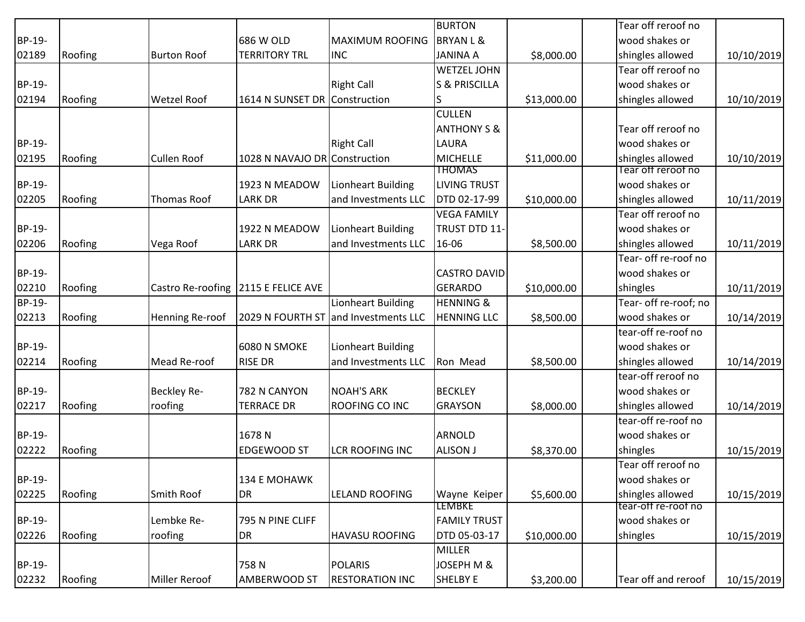|               |         |                    |                                     |                        | <b>BURTON</b>            |             | Tear off reroof no    |            |
|---------------|---------|--------------------|-------------------------------------|------------------------|--------------------------|-------------|-----------------------|------------|
| BP-19-        |         |                    | 686 W OLD                           | <b>MAXIMUM ROOFING</b> | <b>BRYANL&amp;</b>       |             | wood shakes or        |            |
| 02189         | Roofing | <b>Burton Roof</b> | <b>TERRITORY TRL</b>                | <b>INC</b>             | <b>JANINA A</b>          | \$8,000.00  | shingles allowed      | 10/10/2019 |
|               |         |                    |                                     |                        | <b>WETZEL JOHN</b>       |             | Tear off reroof no    |            |
| BP-19-        |         |                    |                                     | <b>Right Call</b>      | <b>S &amp; PRISCILLA</b> |             | wood shakes or        |            |
| 02194         | Roofing | <b>Wetzel Roof</b> | 1614 N SUNSET DR Construction       |                        |                          | \$13,000.00 | shingles allowed      | 10/10/2019 |
|               |         |                    |                                     |                        | <b>CULLEN</b>            |             |                       |            |
|               |         |                    |                                     |                        | <b>ANTHONY S &amp;</b>   |             | Tear off reroof no    |            |
| BP-19-        |         |                    |                                     | <b>Right Call</b>      | LAURA                    |             | wood shakes or        |            |
| 02195         | Roofing | <b>Cullen Roof</b> | 1028 N NAVAJO DR Construction       |                        | <b>MICHELLE</b>          | \$11,000.00 | shingles allowed      | 10/10/2019 |
|               |         |                    |                                     |                        | <b>THOMAS</b>            |             | Tear off reroof no    |            |
| BP-19-        |         |                    | 1923 N MEADOW                       | Lionheart Building     | <b>LIVING TRUST</b>      |             | wood shakes or        |            |
| 02205         | Roofing | Thomas Roof        | <b>LARK DR</b>                      | and Investments LLC    | DTD 02-17-99             | \$10,000.00 | shingles allowed      | 10/11/2019 |
|               |         |                    |                                     |                        | <b>VEGA FAMILY</b>       |             | Tear off reroof no    |            |
| <b>BP-19-</b> |         |                    | 1922 N MEADOW                       | Lionheart Building     | TRUST DTD 11-            |             | wood shakes or        |            |
| 02206         | Roofing | Vega Roof          | <b>LARK DR</b>                      | and Investments LLC    | 16-06                    | \$8,500.00  | shingles allowed      | 10/11/2019 |
|               |         |                    |                                     |                        |                          |             | Tear- off re-roof no  |            |
| BP-19-        |         |                    |                                     |                        | <b>CASTRO DAVID</b>      |             | wood shakes or        |            |
| 02210         | Roofing |                    | Castro Re-roofing 2115 E FELICE AVE |                        | GERARDO                  | \$10,000.00 | shingles              | 10/11/2019 |
| BP-19-        |         |                    |                                     | Lionheart Building     | <b>HENNING &amp;</b>     |             | Tear- off re-roof; no |            |
| 02213         | Roofing | Henning Re-roof    | 2029 N FOURTH ST                    | and Investments LLC    | <b>HENNING LLC</b>       | \$8,500.00  | wood shakes or        | 10/14/2019 |
|               |         |                    |                                     |                        |                          |             | tear-off re-roof no   |            |
| BP-19-        |         |                    | 6080 N SMOKE                        | Lionheart Building     |                          |             | wood shakes or        |            |
| 02214         | Roofing | Mead Re-roof       | <b>RISE DR</b>                      | and Investments LLC    | Ron Mead                 | \$8,500.00  | shingles allowed      | 10/14/2019 |
|               |         |                    |                                     |                        |                          |             | tear-off reroof no    |            |
| BP-19-        |         | Beckley Re-        | 782 N CANYON                        | <b>NOAH'S ARK</b>      | <b>BECKLEY</b>           |             | wood shakes or        |            |
| 02217         | Roofing | roofing            | <b>TERRACE DR</b>                   | ROOFING CO INC         | <b>GRAYSON</b>           | \$8,000.00  | shingles allowed      | 10/14/2019 |
|               |         |                    |                                     |                        |                          |             | tear-off re-roof no   |            |
| BP-19-        |         |                    | 1678N                               |                        | <b>ARNOLD</b>            |             | wood shakes or        |            |
| 02222         | Roofing |                    | <b>EDGEWOOD ST</b>                  | <b>LCR ROOFING INC</b> | <b>ALISON J</b>          | \$8,370.00  | shingles              | 10/15/2019 |
|               |         |                    |                                     |                        |                          |             | Tear off reroof no    |            |
| BP-19-        |         |                    | 134 E MOHAWK                        |                        |                          |             | wood shakes or        |            |
| 02225         | Roofing | Smith Roof         | DR                                  | <b>LELAND ROOFING</b>  | Wayne Keiper             | \$5,600.00  | shingles allowed      | 10/15/2019 |
|               |         |                    |                                     |                        | <b>LEMBKE</b>            |             | tear-off re-roof no   |            |
| BP-19-        |         | Lembke Re-         | 795 N PINE CLIFF                    |                        | <b>FAMILY TRUST</b>      |             | wood shakes or        |            |
| 02226         | Roofing | roofing            | DR                                  | <b>HAVASU ROOFING</b>  | DTD 05-03-17             | \$10,000.00 | shingles              | 10/15/2019 |
|               |         |                    |                                     |                        | <b>MILLER</b>            |             |                       |            |
| BP-19-        |         |                    | 758N                                | <b>POLARIS</b>         | JOSEPH M &               |             |                       |            |
| 02232         | Roofing | Miller Reroof      | AMBERWOOD ST                        | <b>RESTORATION INC</b> | <b>SHELBY E</b>          | \$3,200.00  | Tear off and reroof   | 10/15/2019 |
|               |         |                    |                                     |                        |                          |             |                       |            |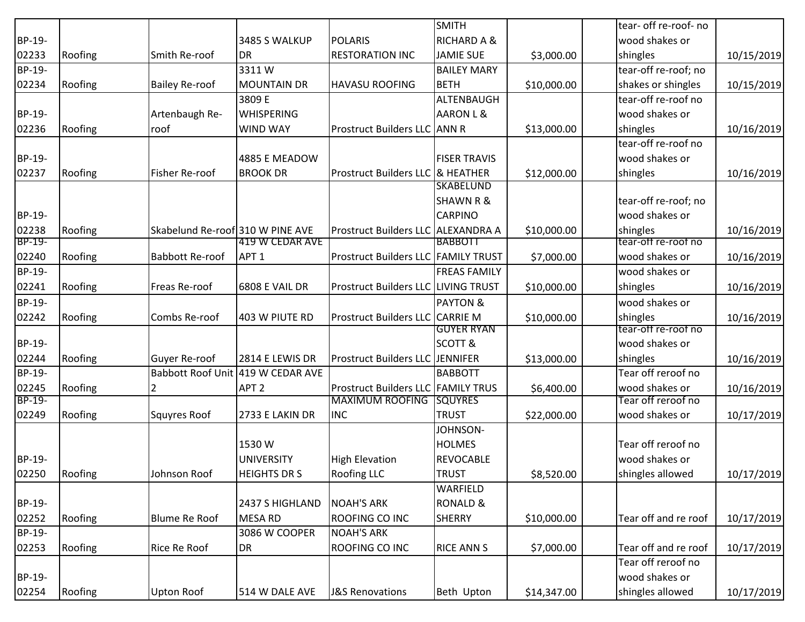|        |               |                                  |                                   |                                           | <b>SMITH</b>           |             | tear- off re-roof- no |            |
|--------|---------------|----------------------------------|-----------------------------------|-------------------------------------------|------------------------|-------------|-----------------------|------------|
| BP-19- |               |                                  | 3485 S WALKUP                     | <b>POLARIS</b>                            | <b>RICHARD A &amp;</b> |             | wood shakes or        |            |
| 02233  | Roofing       | Smith Re-roof                    | <b>DR</b>                         | <b>RESTORATION INC</b>                    | <b>JAMIE SUE</b>       | \$3,000.00  | shingles              | 10/15/2019 |
| BP-19- |               |                                  | 3311W                             |                                           | <b>BAILEY MARY</b>     |             | tear-off re-roof; no  |            |
| 02234  | Roofing       | <b>Bailey Re-roof</b>            | <b>MOUNTAIN DR</b>                | <b>HAVASU ROOFING</b>                     | <b>BETH</b>            | \$10,000.00 | shakes or shingles    | 10/15/2019 |
|        |               |                                  | 3809 E                            |                                           | ALTENBAUGH             |             | tear-off re-roof no   |            |
| BP-19- |               | Artenbaugh Re-                   | <b>WHISPERING</b>                 |                                           | AARON L &              |             | wood shakes or        |            |
| 02236  | Roofing       | roof                             | <b>WIND WAY</b>                   | <b>Prostruct Builders LLC ANN R</b>       |                        | \$13,000.00 | shingles              | 10/16/2019 |
|        |               |                                  |                                   |                                           |                        |             | tear-off re-roof no   |            |
| BP-19- |               |                                  | 4885 E MEADOW                     |                                           | <b>FISER TRAVIS</b>    |             | wood shakes or        |            |
| 02237  | Roofing       | <b>Fisher Re-roof</b>            | <b>BROOK DR</b>                   | Prostruct Builders LLC & HEATHER          |                        | \$12,000.00 | shingles              | 10/16/2019 |
|        |               |                                  |                                   |                                           | <b>SKABELUND</b>       |             |                       |            |
|        |               |                                  |                                   |                                           | <b>SHAWN R &amp;</b>   |             | tear-off re-roof; no  |            |
| BP-19- |               |                                  |                                   |                                           | <b>CARPINO</b>         |             | wood shakes or        |            |
| 02238  | Roofing       | Skabelund Re-roof 310 W PINE AVE |                                   | Prostruct Builders LLC ALEXANDRA A        |                        | \$10,000.00 | shingles              | 10/16/2019 |
| BP-19- |               |                                  | 419 W CEDAR AVE                   |                                           | <b>BABBOTT</b>         |             | tear-off re-roof no   |            |
| 02240  | Roofing       | <b>Babbott Re-roof</b>           | APT <sub>1</sub>                  | Prostruct Builders LLC FAMILY TRUST       |                        | \$7,000.00  | wood shakes or        | 10/16/2019 |
| BP-19- |               |                                  |                                   |                                           | <b>FREAS FAMILY</b>    |             | wood shakes or        |            |
| 02241  | Roofing       | Freas Re-roof                    | 6808 E VAIL DR                    | Prostruct Builders LLC LIVING TRUST       |                        | \$10,000.00 | shingles              | 10/16/2019 |
| BP-19- |               |                                  |                                   |                                           | <b>PAYTON &amp;</b>    |             | wood shakes or        |            |
| 02242  | Roofing       | Combs Re-roof                    | 403 W PIUTE RD                    | Prostruct Builders LLC CARRIE M           |                        | \$10,000.00 | shingles              | 10/16/2019 |
|        |               |                                  |                                   |                                           | <b>GUYER RYAN</b>      |             | tear-off re-roof no   |            |
| BP-19- |               |                                  |                                   |                                           | <b>SCOTT &amp;</b>     |             | wood shakes or        |            |
| 02244  | Roofing       | Guyer Re-roof                    | 2814 E LEWIS DR                   | <b>Prostruct Builders LLC JENNIFER</b>    |                        | \$13,000.00 | shingles              | 10/16/2019 |
| BP-19- |               |                                  | Babbott Roof Unit 419 W CEDAR AVE |                                           | <b>BABBOTT</b>         |             | Tear off reroof no    |            |
| 02245  | Roofing       | 2                                | APT <sub>2</sub>                  | <b>Prostruct Builders LLC FAMILY TRUS</b> |                        | \$6,400.00  | wood shakes or        | 10/16/2019 |
| BP-19- |               |                                  |                                   | <b>MAXIMUM ROOFING</b>                    | <b>ISQUYRES</b>        |             | Tear off reroof no    |            |
| 02249  | Roofing       | <b>Squyres Roof</b>              | 2733 E LAKIN DR                   | <b>INC</b>                                | <b>TRUST</b>           | \$22,000.00 | wood shakes or        | 10/17/2019 |
|        |               |                                  |                                   |                                           | JOHNSON-               |             |                       |            |
|        |               |                                  | 1530W                             |                                           | <b>HOLMES</b>          |             | Tear off reroof no    |            |
| BP-19- |               |                                  | <b>UNIVERSITY</b>                 | <b>High Elevation</b>                     | <b>REVOCABLE</b>       |             | wood shakes or        |            |
|        | 02250 Roofing | Johnson Roof                     | <b>HEIGHTS DR S</b>               | <b>Roofing LLC</b>                        | <b>TRUST</b>           | \$8,520.00  | shingles allowed      | 10/17/2019 |
|        |               |                                  |                                   |                                           | WARFIELD               |             |                       |            |
| BP-19- |               |                                  | 2437 S HIGHLAND                   | <b>NOAH'S ARK</b>                         | <b>RONALD &amp;</b>    |             |                       |            |
| 02252  | Roofing       | <b>Blume Re Roof</b>             | <b>MESA RD</b>                    | ROOFING CO INC                            | <b>SHERRY</b>          | \$10,000.00 | Tear off and re roof  | 10/17/2019 |
| BP-19- |               |                                  | 3086 W COOPER                     | <b>NOAH'S ARK</b>                         |                        |             |                       |            |
| 02253  | Roofing       | Rice Re Roof                     | DR                                | ROOFING CO INC                            | <b>RICE ANN S</b>      | \$7,000.00  | Tear off and re roof  | 10/17/2019 |
|        |               |                                  |                                   |                                           |                        |             | Tear off reroof no    |            |
| BP-19- |               |                                  |                                   |                                           |                        |             | wood shakes or        |            |
| 02254  | Roofing       | <b>Upton Roof</b>                | 514 W DALE AVE                    | <b>J&amp;S Renovations</b>                | Beth Upton             | \$14,347.00 | shingles allowed      | 10/17/2019 |
|        |               |                                  |                                   |                                           |                        |             |                       |            |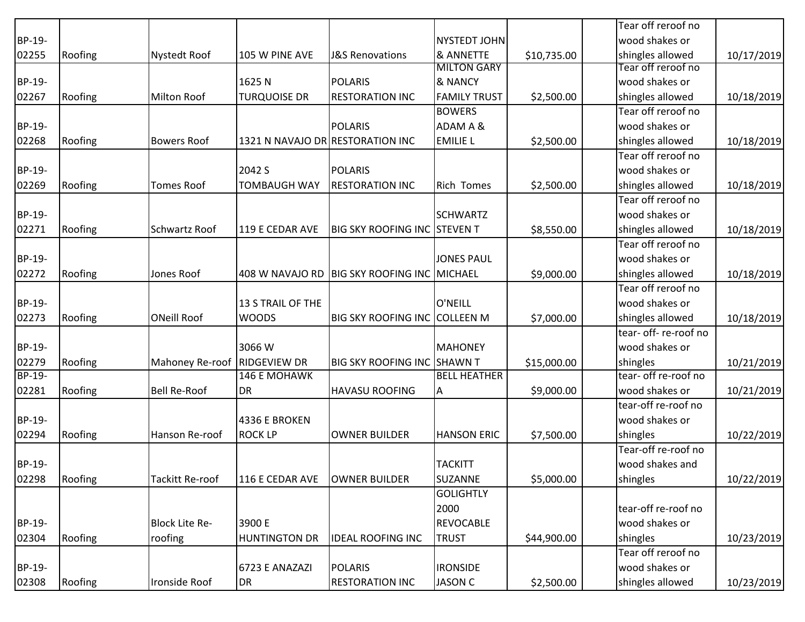|        |         |                       |                                  |                                             |                     |             | Tear off reroof no    |            |
|--------|---------|-----------------------|----------------------------------|---------------------------------------------|---------------------|-------------|-----------------------|------------|
| BP-19- |         |                       |                                  |                                             | NYSTEDT JOHN        |             | wood shakes or        |            |
| 02255  | Roofing | <b>Nystedt Roof</b>   | 105 W PINE AVE                   | <b>J&amp;S Renovations</b>                  | & ANNETTE           | \$10,735.00 | shingles allowed      | 10/17/2019 |
|        |         |                       |                                  |                                             | <b>MILTON GARY</b>  |             | Tear off reroof no    |            |
| BP-19- |         |                       | 1625N                            | <b>POLARIS</b>                              | & NANCY             |             | wood shakes or        |            |
| 02267  | Roofing | Milton Roof           | <b>TURQUOISE DR</b>              | <b>RESTORATION INC</b>                      | <b>FAMILY TRUST</b> | \$2,500.00  | shingles allowed      | 10/18/2019 |
|        |         |                       |                                  |                                             | <b>BOWERS</b>       |             | Tear off reroof no    |            |
| BP-19- |         |                       |                                  | <b>POLARIS</b>                              | ADAM A &            |             | wood shakes or        |            |
| 02268  | Roofing | <b>Bowers Roof</b>    | 1321 N NAVAJO DR RESTORATION INC |                                             | <b>EMILIE L</b>     | \$2,500.00  | shingles allowed      | 10/18/2019 |
|        |         |                       |                                  |                                             |                     |             | Tear off reroof no    |            |
| BP-19- |         |                       | 2042 S                           | <b>POLARIS</b>                              |                     |             | wood shakes or        |            |
| 02269  | Roofing | <b>Tomes Roof</b>     | <b>TOMBAUGH WAY</b>              | <b>RESTORATION INC</b>                      | <b>Rich Tomes</b>   | \$2,500.00  | shingles allowed      | 10/18/2019 |
|        |         |                       |                                  |                                             |                     |             | Tear off reroof no    |            |
| BP-19- |         |                       |                                  |                                             | <b>SCHWARTZ</b>     |             | wood shakes or        |            |
| 02271  | Roofing | <b>Schwartz Roof</b>  | 119 E CEDAR AVE                  | <b>BIG SKY ROOFING INC STEVEN T</b>         |                     | \$8,550.00  | shingles allowed      | 10/18/2019 |
|        |         |                       |                                  |                                             |                     |             | Tear off reroof no    |            |
| BP-19- |         |                       |                                  |                                             | <b>JONES PAUL</b>   |             | wood shakes or        |            |
| 02272  | Roofing | Jones Roof            |                                  | 408 W NAVAJO RD BIG SKY ROOFING INC MICHAEL |                     | \$9,000.00  | shingles allowed      | 10/18/2019 |
|        |         |                       |                                  |                                             |                     |             | Tear off reroof no    |            |
| BP-19- |         |                       | 13 S TRAIL OF THE                |                                             | O'NEILL             |             | wood shakes or        |            |
| 02273  | Roofing | <b>ONeill Roof</b>    | <b>WOODS</b>                     | <b>BIG SKY ROOFING INC COLLEEN M</b>        |                     | \$7,000.00  | shingles allowed      | 10/18/2019 |
|        |         |                       |                                  |                                             |                     |             | tear- off- re-roof no |            |
| BP-19- |         |                       | 3066W                            |                                             | <b>MAHONEY</b>      |             | wood shakes or        |            |
| 02279  | Roofing | Mahoney Re-roof       | <b>RIDGEVIEW DR</b>              | <b>BIG SKY ROOFING INC SHAWN T</b>          |                     | \$15,000.00 | shingles              | 10/21/2019 |
| BP-19- |         |                       | <b>146 E MOHAWK</b>              |                                             | <b>BELL HEATHER</b> |             | tear- off re-roof no  |            |
| 02281  | Roofing | <b>Bell Re-Roof</b>   | <b>DR</b>                        | <b>HAVASU ROOFING</b>                       | A                   | \$9,000.00  | wood shakes or        | 10/21/2019 |
|        |         |                       |                                  |                                             |                     |             | tear-off re-roof no   |            |
| BP-19- |         |                       | 4336 E BROKEN                    |                                             |                     |             | wood shakes or        |            |
| 02294  | Roofing | Hanson Re-roof        | <b>ROCK LP</b>                   | OWNER BUILDER                               | <b>HANSON ERIC</b>  | \$7,500.00  | shingles              | 10/22/2019 |
|        |         |                       |                                  |                                             |                     |             | Tear-off re-roof no   |            |
| BP-19- |         |                       |                                  |                                             | <b>TACKITT</b>      |             | wood shakes and       |            |
| 02298  | Roofing | Tackitt Re-roof       | 116 E CEDAR AVE                  | OWNER BUILDER                               | <b>SUZANNE</b>      | \$5,000.00  | shingles              | 10/22/2019 |
|        |         |                       |                                  |                                             | <b>GOLIGHTLY</b>    |             |                       |            |
|        |         |                       |                                  |                                             | 2000                |             | tear-off re-roof no   |            |
| BP-19- |         | <b>Block Lite Re-</b> | 3900 E                           |                                             | <b>REVOCABLE</b>    |             | wood shakes or        |            |
| 02304  | Roofing | roofing               | <b>HUNTINGTON DR</b>             | <b>IDEAL ROOFING INC</b>                    | <b>TRUST</b>        | \$44,900.00 | shingles              | 10/23/2019 |
|        |         |                       |                                  |                                             |                     |             | Tear off reroof no    |            |
| BP-19- |         |                       | 6723 E ANAZAZI                   | <b>POLARIS</b>                              | <b>IRONSIDE</b>     |             | wood shakes or        |            |
| 02308  | Roofing | Ironside Roof         | DR                               | <b>RESTORATION INC</b>                      | <b>JASON C</b>      | \$2,500.00  | shingles allowed      | 10/23/2019 |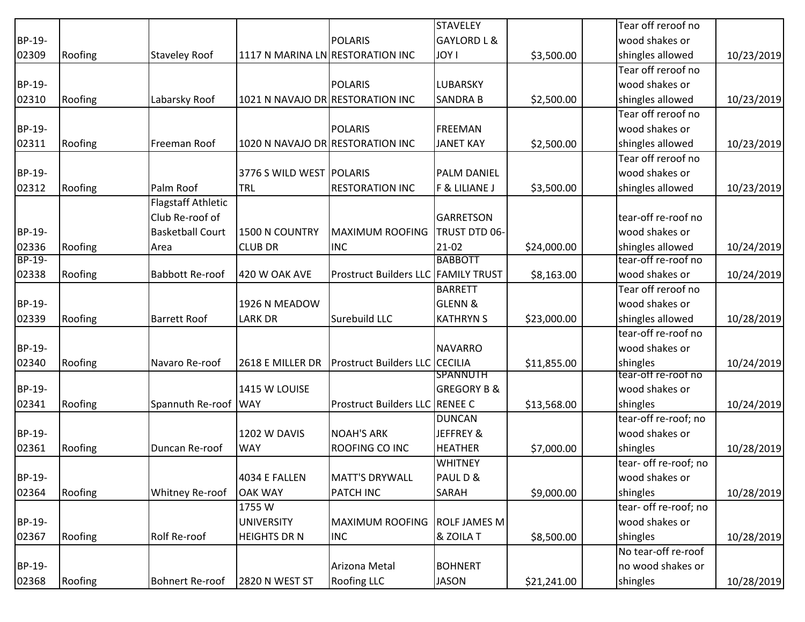|        |         |                           |                                  |                                | <b>STAVELEY</b>        |             | Tear off reroof no    |            |
|--------|---------|---------------------------|----------------------------------|--------------------------------|------------------------|-------------|-----------------------|------------|
| BP-19- |         |                           |                                  | <b>POLARIS</b>                 | <b>GAYLORD L &amp;</b> |             | wood shakes or        |            |
| 02309  | Roofing | <b>Staveley Roof</b>      | 1117 N MARINA LN RESTORATION INC |                                | <b>JOY I</b>           | \$3,500.00  | shingles allowed      | 10/23/2019 |
|        |         |                           |                                  |                                |                        |             | Tear off reroof no    |            |
| BP-19- |         |                           |                                  | <b>POLARIS</b>                 | LUBARSKY               |             | wood shakes or        |            |
| 02310  | Roofing | Labarsky Roof             | 1021 N NAVAJO DR RESTORATION INC |                                | <b>SANDRA B</b>        | \$2,500.00  | shingles allowed      | 10/23/2019 |
|        |         |                           |                                  |                                |                        |             | Tear off reroof no    |            |
| BP-19- |         |                           |                                  | <b>POLARIS</b>                 | <b>FREEMAN</b>         |             | wood shakes or        |            |
| 02311  | Roofing | Freeman Roof              | 1020 N NAVAJO DR RESTORATION INC |                                | <b>JANET KAY</b>       | \$2,500.00  | shingles allowed      | 10/23/2019 |
|        |         |                           |                                  |                                |                        |             | Tear off reroof no    |            |
| BP-19- |         |                           | 3776 S WILD WEST POLARIS         |                                | <b>PALM DANIEL</b>     |             | wood shakes or        |            |
| 02312  | Roofing | Palm Roof                 | TRL                              | <b>RESTORATION INC</b>         | F & LILIANE J          | \$3,500.00  | shingles allowed      | 10/23/2019 |
|        |         | <b>Flagstaff Athletic</b> |                                  |                                |                        |             |                       |            |
|        |         | Club Re-roof of           |                                  |                                | <b>GARRETSON</b>       |             | tear-off re-roof no   |            |
| BP-19- |         | <b>Basketball Court</b>   | 1500 N COUNTRY                   | <b>MAXIMUM ROOFING</b>         | TRUST DTD 06-          |             | wood shakes or        |            |
| 02336  | Roofing | Area                      | <b>CLUB DR</b>                   | <b>INC</b>                     | $21-02$                | \$24,000.00 | shingles allowed      | 10/24/2019 |
| BP-19- |         |                           |                                  |                                | <b>BABBOTT</b>         |             | tear-off re-roof no   |            |
| 02338  | Roofing | <b>Babbott Re-roof</b>    | 420 W OAK AVE                    | <b>Prostruct Builders LLC</b>  | <b>FAMILY TRUST</b>    | \$8,163.00  | wood shakes or        | 10/24/2019 |
|        |         |                           |                                  |                                | <b>BARRETT</b>         |             | Tear off reroof no    |            |
| BP-19- |         |                           | 1926 N MEADOW                    |                                | <b>GLENN &amp;</b>     |             | wood shakes or        |            |
| 02339  | Roofing | <b>Barrett Roof</b>       | <b>LARK DR</b>                   | Surebuild LLC                  | <b>KATHRYN S</b>       | \$23,000.00 | shingles allowed      | 10/28/2019 |
|        |         |                           |                                  |                                |                        |             | tear-off re-roof no   |            |
| BP-19- |         |                           |                                  |                                | <b>NAVARRO</b>         |             | wood shakes or        |            |
| 02340  | Roofing | Navaro Re-roof            | 2618 E MILLER DR                 | <b>Prostruct Builders LLC</b>  | <b>CECILIA</b>         | \$11,855.00 | shingles              | 10/24/2019 |
|        |         |                           |                                  |                                | <b>SPANNUTH</b>        |             | tear-off re-roof no   |            |
| BP-19- |         |                           | 1415 W LOUISE                    |                                | <b>GREGORY B &amp;</b> |             | wood shakes or        |            |
| 02341  | Roofing | Spannuth Re-roof WAY      |                                  | Prostruct Builders LLC RENEE C |                        | \$13,568.00 | shingles              | 10/24/2019 |
|        |         |                           |                                  |                                | <b>DUNCAN</b>          |             | tear-off re-roof; no  |            |
| BP-19- |         |                           | <b>1202 W DAVIS</b>              | <b>NOAH'S ARK</b>              | JEFFREY &              |             | wood shakes or        |            |
| 02361  | Roofing | Duncan Re-roof            | <b>WAY</b>                       | ROOFING CO INC                 | <b>HEATHER</b>         | \$7,000.00  | shingles              | 10/28/2019 |
|        |         |                           |                                  |                                | <b>WHITNEY</b>         |             | tear- off re-roof; no |            |
| BP-19- |         |                           | 4034 E FALLEN                    | <b>MATT'S DRYWALL</b>          | PAUL D &               |             | wood shakes or        |            |
| 02364  | Roofing | Whitney Re-roof           | <b>OAK WAY</b>                   | PATCH INC                      | SARAH                  | \$9,000.00  | shingles              | 10/28/2019 |
|        |         |                           | 1755 W                           |                                |                        |             | tear- off re-roof; no |            |
| BP-19- |         |                           | <b>UNIVERSITY</b>                | <b>MAXIMUM ROOFING</b>         | <b>ROLF JAMES M</b>    |             | wood shakes or        |            |
| 02367  | Roofing | Rolf Re-roof              | <b>HEIGHTS DR N</b>              | <b>INC</b>                     | & ZOILA T              | \$8,500.00  | shingles              | 10/28/2019 |
|        |         |                           |                                  |                                |                        |             | No tear-off re-roof   |            |
| BP-19- |         |                           |                                  | Arizona Metal                  | <b>BOHNERT</b>         |             | no wood shakes or     |            |
| 02368  | Roofing | <b>Bohnert Re-roof</b>    | 2820 N WEST ST                   | <b>Roofing LLC</b>             | <b>JASON</b>           | \$21,241.00 | shingles              | 10/28/2019 |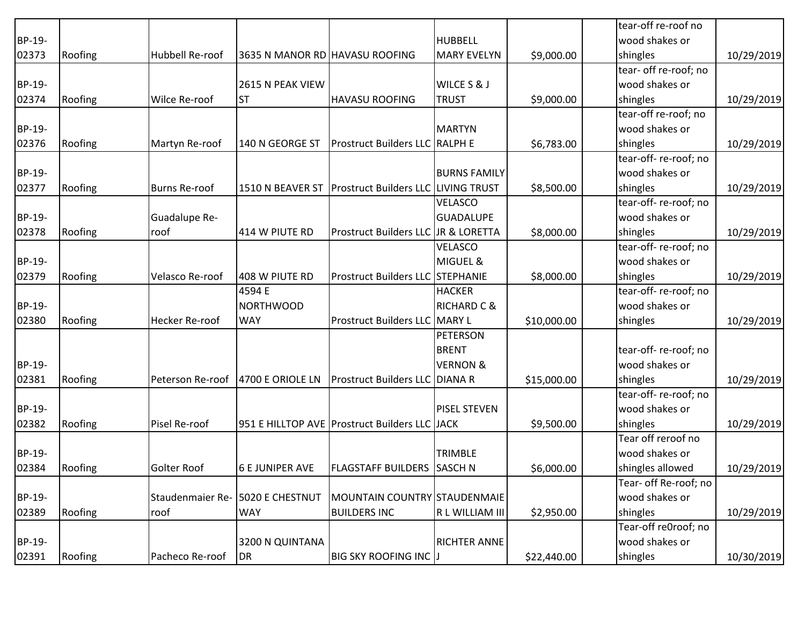|        |         |                                   |                                |                                                      |                        |             | tear-off re-roof no   |            |
|--------|---------|-----------------------------------|--------------------------------|------------------------------------------------------|------------------------|-------------|-----------------------|------------|
| BP-19- |         |                                   |                                |                                                      | <b>HUBBELL</b>         |             | wood shakes or        |            |
| 02373  | Roofing | Hubbell Re-roof                   | 3635 N MANOR RD HAVASU ROOFING |                                                      | <b>MARY EVELYN</b>     | \$9,000.00  | shingles              | 10/29/2019 |
|        |         |                                   |                                |                                                      |                        |             | tear- off re-roof; no |            |
| BP-19- |         |                                   | 2615 N PEAK VIEW               |                                                      | WILCE S & J            |             | wood shakes or        |            |
| 02374  | Roofing | Wilce Re-roof                     | <b>ST</b>                      | <b>HAVASU ROOFING</b>                                | <b>TRUST</b>           | \$9,000.00  | shingles              | 10/29/2019 |
|        |         |                                   |                                |                                                      |                        |             | tear-off re-roof; no  |            |
| BP-19- |         |                                   |                                |                                                      | <b>MARTYN</b>          |             | wood shakes or        |            |
| 02376  | Roofing | Martyn Re-roof                    | 140 N GEORGE ST                | <b>Prostruct Builders LLC RALPH E</b>                |                        | \$6,783.00  | shingles              | 10/29/2019 |
|        |         |                                   |                                |                                                      |                        |             | tear-off-re-roof; no  |            |
| BP-19- |         |                                   |                                |                                                      | <b>BURNS FAMILY</b>    |             | wood shakes or        |            |
| 02377  | Roofing | <b>Burns Re-roof</b>              |                                | 1510 N BEAVER ST Prostruct Builders LLC LIVING TRUST |                        | \$8,500.00  | shingles              | 10/29/2019 |
|        |         |                                   |                                |                                                      | VELASCO                |             | tear-off-re-roof; no  |            |
| BP-19- |         | Guadalupe Re-                     |                                |                                                      | <b>GUADALUPE</b>       |             | wood shakes or        |            |
| 02378  | Roofing | roof                              | 414 W PIUTE RD                 | Prostruct Builders LLC JR & LORETTA                  |                        | \$8,000.00  | shingles              | 10/29/2019 |
|        |         |                                   |                                |                                                      | VELASCO                |             | tear-off-re-roof; no  |            |
| BP-19- |         |                                   |                                |                                                      | MIGUEL &               |             | wood shakes or        |            |
| 02379  | Roofing | Velasco Re-roof                   | 408 W PIUTE RD                 | <b>Prostruct Builders LLC STEPHANIE</b>              |                        | \$8,000.00  | shingles              | 10/29/2019 |
|        |         |                                   | 4594 E                         |                                                      | <b>HACKER</b>          |             | tear-off-re-roof; no  |            |
| BP-19- |         |                                   | <b>NORTHWOOD</b>               |                                                      | <b>RICHARD C &amp;</b> |             | wood shakes or        |            |
| 02380  | Roofing | <b>Hecker Re-roof</b>             | <b>WAY</b>                     | <b>Prostruct Builders LLC MARY L</b>                 |                        | \$10,000.00 | shingles              | 10/29/2019 |
|        |         |                                   |                                |                                                      | <b>PETERSON</b>        |             |                       |            |
|        |         |                                   |                                |                                                      | <b>BRENT</b>           |             | tear-off-re-roof; no  |            |
| BP-19- |         |                                   |                                |                                                      | <b>VERNON &amp;</b>    |             | wood shakes or        |            |
| 02381  | Roofing | Peterson Re-roof 4700 E ORIOLE LN |                                | <b>Prostruct Builders LLC DIANA R</b>                |                        | \$15,000.00 | shingles              | 10/29/2019 |
|        |         |                                   |                                |                                                      |                        |             | tear-off-re-roof; no  |            |
| BP-19- |         |                                   |                                |                                                      | <b>PISEL STEVEN</b>    |             | wood shakes or        |            |
| 02382  | Roofing | Pisel Re-roof                     |                                | 951 E HILLTOP AVE Prostruct Builders LLC JJACK       |                        | \$9,500.00  | shingles              | 10/29/2019 |
|        |         |                                   |                                |                                                      |                        |             | Tear off reroof no    |            |
| BP-19- |         |                                   |                                |                                                      | <b>TRIMBLE</b>         |             | wood shakes or        |            |
| 02384  | Roofing | Golter Roof                       | <b>6 E JUNIPER AVE</b>         | <b>FLAGSTAFF BUILDERS SASCH N</b>                    |                        | \$6,000.00  | shingles allowed      | 10/29/2019 |
|        |         |                                   |                                |                                                      |                        |             | Tear- off Re-roof; no |            |
| BP-19- |         | Staudenmaier Re- 5020 E CHESTNUT  |                                | MOUNTAIN COUNTRY STAUDENMAIE                         |                        |             | wood shakes or        |            |
| 02389  | Roofing | roof                              | <b>WAY</b>                     | <b>BUILDERS INC</b>                                  | R L WILLIAM III        | \$2,950.00  | shingles              | 10/29/2019 |
|        |         |                                   |                                |                                                      |                        |             | Tear-off re0roof; no  |            |
| BP-19- |         |                                   | 3200 N QUINTANA                |                                                      | <b>RICHTER ANNE</b>    |             | wood shakes or        |            |
| 02391  | Roofing | Pacheco Re-roof                   | DR                             | <b>BIG SKY ROOFING INC J</b>                         |                        | \$22,440.00 | shingles              | 10/30/2019 |